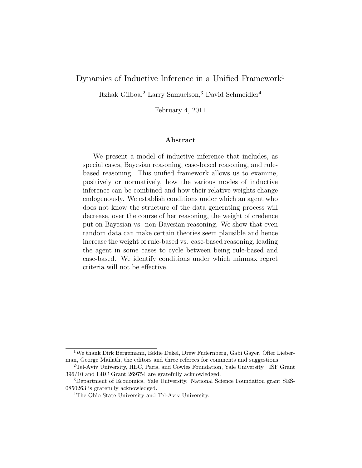## Dynamics of Inductive Inference in a Unified Framework<sup>1</sup>

Itzhak Gilboa,<sup>2</sup> Larry Samuelson,<sup>3</sup> David Schmeidler<sup>4</sup>

February 4, 2011

#### Abstract

We present a model of inductive inference that includes, as special cases, Bayesian reasoning, case-based reasoning, and rulebased reasoning. This unified framework allows us to examine, positively or normatively, how the various modes of inductive inference can be combined and how their relative weights change endogenously. We establish conditions under which an agent who does not know the structure of the data generating process will decrease, over the course of her reasoning, the weight of credence put on Bayesian vs. non-Bayesian reasoning. We show that even random data can make certain theories seem plausible and hence increase the weight of rule-based vs. case-based reasoning, leading the agent in some cases to cycle between being rule-based and case-based. We identify conditions under which minmax regret criteria will not be effective.

<sup>1</sup>We thank Dirk Bergemann, Eddie Dekel, Drew Fudernberg, Gabi Gayer, Offer Lieberman, George Mailath, the editors and three referees for comments and suggestions.

<sup>2</sup>Tel-Aviv University, HEC, Paris, and Cowles Foundation, Yale University. ISF Grant 396/10 and ERC Grant 269754 are gratefully acknowledged.

<sup>3</sup>Department of Economics, Yale University. National Science Foundation grant SES-0850263 is gratefully acknowledged.

<sup>&</sup>lt;sup>4</sup>The Ohio State University and Tel-Aviv University.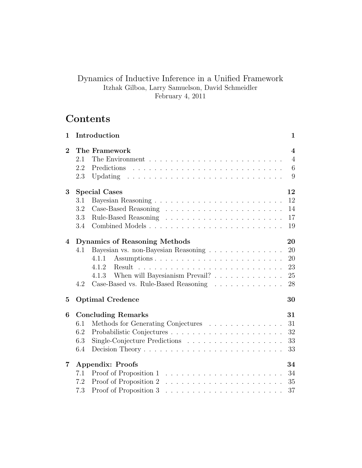## Dynamics of Inductive Inference in a Unified Framework Itzhak Gilboa, Larry Samuelson, David Schmeidler February 4, 2011

# Contents

| 1              | Introduction                                                                                                                                                                                  | 1                                          |
|----------------|-----------------------------------------------------------------------------------------------------------------------------------------------------------------------------------------------|--------------------------------------------|
| $\bf{2}$       | The Framework<br>The Environment $\ldots \ldots \ldots \ldots \ldots \ldots \ldots \ldots \ldots$<br>2.1<br>2.2<br>Predictions<br>2.3                                                         | $\overline{4}$<br>$\overline{4}$<br>6<br>9 |
| 3              | <b>Special Cases</b><br>3.1<br>3.2<br>3.3<br>3.4                                                                                                                                              | 12<br>12<br>14<br>17<br>19                 |
| 4              | <b>Dynamics of Reasoning Methods</b><br>Bayesian vs. non-Bayesian Reasoning<br>4.1<br>4.1.1<br>4.1.2<br>When will Bayesianism Prevail?<br>4.1.3<br>Case-Based vs. Rule-Based Reasoning<br>4.2 | 20<br>20<br>20<br>23<br>25<br>28           |
| 5              | <b>Optimal Credence</b>                                                                                                                                                                       | 30                                         |
| 6              | <b>Concluding Remarks</b><br>Methods for Generating Conjectures<br>6.1<br>6.2<br>6.3<br>6.4                                                                                                   | 31<br>31<br>32<br>33<br>33                 |
| $\overline{7}$ | <b>Appendix: Proofs</b><br>7.1<br>7.2<br>7.3                                                                                                                                                  | 34<br>34<br>35<br>37                       |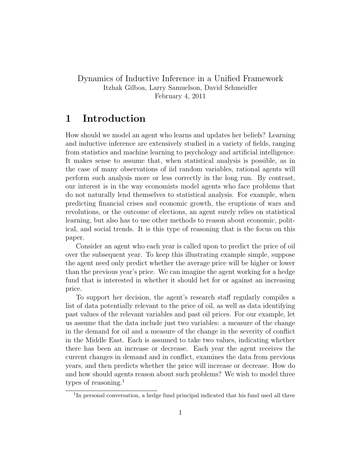## Dynamics of Inductive Inference in a Unified Framework Itzhak Gilboa, Larry Samuelson, David Schmeidler February 4, 2011

## 1 Introduction

How should we model an agent who learns and updates her beliefs? Learning and inductive inference are extensively studied in a variety of fields, ranging from statistics and machine learning to psychology and artificial intelligence. It makes sense to assume that, when statistical analysis is possible, as in the case of many observations of iid random variables, rational agents will perform such analysis more or less correctly in the long run. By contrast, our interest is in the way economists model agents who face problems that do not naturally lend themselves to statistical analysis. For example, when predicting financial crises and economic growth, the eruptions of wars and revolutions, or the outcome of elections, an agent surely relies on statistical learning, but also has to use other methods to reason about economic, political, and social trends. It is this type of reasoning that is the focus on this paper.

Consider an agent who each year is called upon to predict the price of oil over the subsequent year. To keep this illustrating example simple, suppose the agent need only predict whether the average price will be higher or lower than the previous year's price. We can imagine the agent working for a hedge fund that is interested in whether it should bet for or against an increasing price.

To support her decision, the agent's research staff regularly compiles a list of data potentially relevant to the price of oil, as well as data identifying past values of the relevant variables and past oil prices. For our example, let us assume that the data include just two variables: a measure of the change in the demand for oil and a measure of the change in the severity of conflict in the Middle East. Each is assumed to take two values, indicating whether there has been an increase or decrease. Each year the agent receives the current changes in demand and in conflict, examines the data from previous years, and then predicts whether the price will increase or decrease. How do and how should agents reason about such problems? We wish to model three types of reasoning. $<sup>1</sup>$ </sup>

<sup>&</sup>lt;sup>1</sup>In personal conversation, a hedge fund principal indicated that his fund used all three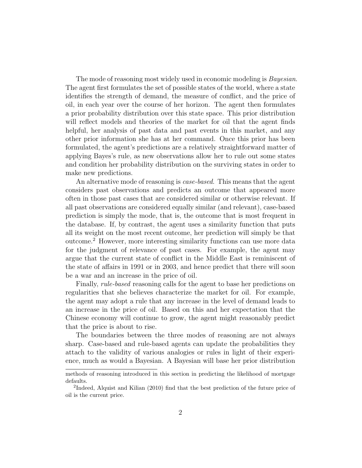The mode of reasoning most widely used in economic modeling is *Bayesian*. The agent first formulates the set of possible states of the world, where a state identifies the strength of demand, the measure of conflict, and the price of oil, in each year over the course of her horizon. The agent then formulates a prior probability distribution over this state space. This prior distribution will reflect models and theories of the market for oil that the agent finds helpful, her analysis of past data and past events in this market, and any other prior information she has at her command. Once this prior has been formulated, the agent's predictions are a relatively straightforward matter of applying Bayes's rule, as new observations allow her to rule out some states and condition her probability distribution on the surviving states in order to make new predictions.

An alternative mode of reasoning is *case-based*. This means that the agent considers past observations and predicts an outcome that appeared more often in those past cases that are considered similar or otherwise relevant. If all past observations are considered equally similar (and relevant), case-based prediction is simply the mode, that is, the outcome that is most frequent in the database. If, by contrast, the agent uses a similarity function that puts all its weight on the most recent outcome, her prediction will simply be that outcome.<sup>2</sup> However, more interesting similarity functions can use more data for the judgment of relevance of past cases. For example, the agent may argue that the current state of conflict in the Middle East is reminiscent of the state of affairs in 1991 or in 2003, and hence predict that there will soon be a war and an increase in the price of oil.

Finally, rule-based reasoning calls for the agent to base her predictions on regularities that she believes characterize the market for oil. For example, the agent may adopt a rule that any increase in the level of demand leads to an increase in the price of oil. Based on this and her expectation that the Chinese economy will continue to grow, the agent might reasonably predict that the price is about to rise.

The boundaries between the three modes of reasoning are not always sharp. Case-based and rule-based agents can update the probabilities they attach to the validity of various analogies or rules in light of their experience, much as would a Bayesian. A Bayesian will base her prior distribution

methods of reasoning introduced in this section in predicting the likelihood of mortgage defaults.

<sup>&</sup>lt;sup>2</sup>Indeed, Alquist and Kilian (2010) find that the best prediction of the future price of oil is the current price.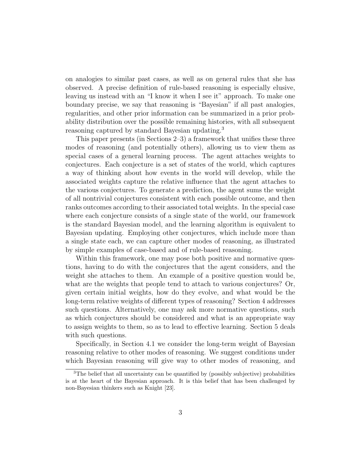on analogies to similar past cases, as well as on general rules that she has observed. A precise definition of rule-based reasoning is especially elusive, leaving us instead with an "I know it when I see it" approach. To make one boundary precise, we say that reasoning is "Bayesian" if all past analogies, regularities, and other prior information can be summarized in a prior probability distribution over the possible remaining histories, with all subsequent reasoning captured by standard Bayesian updating.<sup>3</sup>

This paper presents (in Sections 2–3) a framework that unifies these three modes of reasoning (and potentially others), allowing us to view them as special cases of a general learning process. The agent attaches weights to conjectures. Each conjecture is a set of states of the world, which captures a way of thinking about how events in the world will develop, while the associated weights capture the relative influence that the agent attaches to the various conjectures. To generate a prediction, the agent sums the weight of all nontrivial conjectures consistent with each possible outcome, and then ranks outcomes according to their associated total weights. In the special case where each conjecture consists of a single state of the world, our framework is the standard Bayesian model, and the learning algorithm is equivalent to Bayesian updating. Employing other conjectures, which include more than a single state each, we can capture other modes of reasoning, as illustrated by simple examples of case-based and of rule-based reasoning.

Within this framework, one may pose both positive and normative questions, having to do with the conjectures that the agent considers, and the weight she attaches to them. An example of a positive question would be, what are the weights that people tend to attach to various conjectures? Or, given certain initial weights, how do they evolve, and what would be the long-term relative weights of different types of reasoning? Section 4 addresses such questions. Alternatively, one may ask more normative questions, such as which conjectures should be considered and what is an appropriate way to assign weights to them, so as to lead to effective learning. Section 5 deals with such questions.

Specifically, in Section 4.1 we consider the long-term weight of Bayesian reasoning relative to other modes of reasoning. We suggest conditions under which Bayesian reasoning will give way to other modes of reasoning, and

<sup>&</sup>lt;sup>3</sup>The belief that all uncertainty can be quantified by (possibly subjective) probabilities is at the heart of the Bayesian approach. It is this belief that has been challenged by non-Bayesian thinkers such as Knight [23].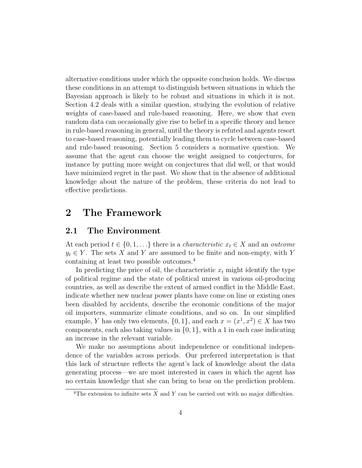alternative conditions under which the opposite conclusion holds. We discuss these conditions in an attempt to distinguish between situations in which the Bayesian approach is likely to be robust and situations in which it is not. Section 4.2 deals with a similar question, studying the evolution of relative weights of case-based and rule-based reasoning. Here, we show that even random data can occasionally give rise to belief in a specific theory and hence in rule-based reasoning in general, until the theory is refuted and agents resort to case-based reasoning, potentially leading them to cycle between case-based and rule-based reasoning. Section 5 considers a normative question. We assume that the agent can choose the weight assigned to conjectures, for instance by putting more weight on conjectures that did well, or that would have minimized regret in the past. We show that in the absence of additional knowledge about the nature of the problem, these criteria do not lead to effective predictions.

## 2 The Framework

## 2.1 The Environment

At each period  $t \in \{0, 1, \ldots\}$  there is a *characteristic*  $x_t \in X$  and an *outcome*  $y_t \in Y$ . The sets X and Y are assumed to be finite and non-empty, with Y containing at least two possible outcomes.<sup>4</sup>

In predicting the price of oil, the characteristic  $x_t$  might identify the type of political regime and the state of political unrest in various oil-producing countries, as well as describe the extent of armed conflict in the Middle East, indicate whether new nuclear power plants have come on line or existing ones been disabled by accidents, describe the economic conditions of the major oil importers, summarize climate conditions, and so on. In our simplified example, Y has only two elements,  $\{0, 1\}$ , and each  $x = (x^1, x^2) \in X$  has two components, each also taking values in  $\{0, 1\}$ , with a 1 in each case indicating an increase in the relevant variable.

We make no assumptions about independence or conditional independence of the variables across periods. Our preferred interpretation is that this lack of structure reflects the agent's lack of knowledge about the data generating process—we are most interested in cases in which the agent has no certain knowledge that she can bring to bear on the prediction problem.

<sup>&</sup>lt;sup>4</sup>The extension to infinite sets X and Y can be carried out with no major difficulties.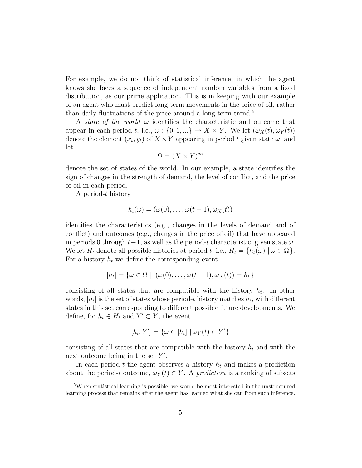For example, we do not think of statistical inference, in which the agent knows she faces a sequence of independent random variables from a fixed distribution, as our prime application. This is in keeping with our example of an agent who must predict long-term movements in the price of oil, rather than daily fluctuations of the price around a long-term trend.<sup>5</sup>

A *state of the world*  $\omega$  identifies the characteristic and outcome that appear in each period t, i.e.,  $\omega: \{0, 1, ...\} \to X \times Y$ . We let  $(\omega_X(t), \omega_Y(t))$ denote the element  $(x_t, y_t)$  of  $X \times Y$  appearing in period t given state  $\omega$ , and let

$$
\Omega = (X \times Y)^{\infty}
$$

denote the set of states of the world. In our example, a state identifies the sign of changes in the strength of demand, the level of conflict, and the price of oil in each period.

A period-t history

$$
h_t(\omega)=(\omega(0),\ldots,\omega(t-1),\omega_X(t))
$$

identifies the characteristics (e.g., changes in the levels of demand and of conflict) and outcomes (e.g., changes in the price of oil) that have appeared in periods 0 through  $t-1$ , as well as the period-t characteristic, given state  $\omega$ . We let  $H_t$  denote all possible histories at period t, i.e.,  $H_t = \{h_t(\omega) \mid \omega \in \Omega\}.$ For a history  $h_t$  we define the corresponding event

$$
[h_t] = \{ \omega \in \Omega \mid (\omega(0), \dots, \omega(t-1), \omega_X(t)) = h_t \}
$$

consisting of all states that are compatible with the history  $h_t$ . In other words,  $[h_t]$  is the set of states whose period-t history matches  $h_t$ , with different states in this set corresponding to different possible future developments. We define, for  $h_t \in H_t$  and  $Y' \subset Y$ , the event

$$
[h_t, Y'] = \{ \omega \in [h_t] \mid \omega_Y(t) \in Y' \}
$$

consisting of all states that are compatible with the history  $h_t$  and with the next outcome being in the set  $Y'$ .

In each period t the agent observes a history  $h_t$  and makes a prediction about the period-t outcome,  $\omega_Y(t) \in Y$ . A prediction is a ranking of subsets

<sup>5</sup>When statistical learning is possible, we would be most interested in the unstructured learning process that remains after the agent has learned what she can from such inference.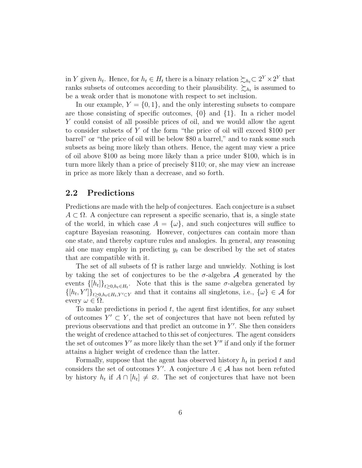in Y given  $h_t$ . Hence, for  $h_t \in H_t$  there is a binary relation  $\succsim_{h_t} \subset 2^Y \times 2^Y$  that ranks subsets of outcomes according to their plausibility.  $\sum_{h_t}$  is assumed to be a weak order that is monotone with respect to set inclusion.

In our example,  $Y = \{0, 1\}$ , and the only interesting subsets to compare are those consisting of specific outcomes,  $\{0\}$  and  $\{1\}$ . In a richer model Y could consist of all possible prices of oil, and we would allow the agent to consider subsets of Y of the form "the price of oil will exceed \$100 per barrel" or "the price of oil will be below \$80 a barrel," and to rank some such subsets as being more likely than others. Hence, the agent may view a price of oil above \$100 as being more likely than a price under \$100, which is in turn more likely than a price of precisely \$110; or, she may view an increase in price as more likely than a decrease, and so forth.

## 2.2 Predictions

Predictions are made with the help of conjectures. Each conjecture is a subset  $A \subset \Omega$ . A conjecture can represent a specific scenario, that is, a single state of the world, in which case  $A = {\omega}$ , and such conjectures will suffice to capture Bayesian reasoning. However, conjectures can contain more than one state, and thereby capture rules and analogies. In general, any reasoning aid one may employ in predicting  $y_t$  can be described by the set of states that are compatible with it.

The set of all subsets of  $\Omega$  is rather large and unwieldy. Nothing is lost by taking the set of conjectures to be the  $\sigma$ -algebra  $\mathcal A$  generated by the events  $\{[h_t]\}_{t\geq 0, h_t\in H_t}$ . Note that this is the same  $\sigma$ -algebra generated by  $\{[h_t, Y']\}_{t\geq 0, h_t\in H_t, Y'\subset Y}$  and that it contains all singletons, i.e.,  $\{\omega\} \in \mathcal{A}$  for every  $\omega \in \Omega$ .

To make predictions in period  $t$ , the agent first identifies, for any subset of outcomes  $Y' \subset Y$ , the set of conjectures that have not been refuted by previous observations and that predict an outcome in  $Y'$ . She then considers the weight of credence attached to this set of conjectures. The agent considers the set of outcomes  $Y'$  as more likely than the set  $Y''$  if and only if the former attains a higher weight of credence than the latter.

Formally, suppose that the agent has observed history  $h_t$  in period t and considers the set of outcomes Y'. A conjecture  $A \in \mathcal{A}$  has not been refuted by history  $h_t$  if  $A \cap [h_t] \neq \emptyset$ . The set of conjectures that have not been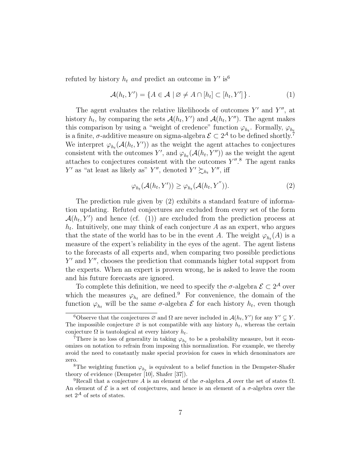refuted by history  $h_t$  and predict an outcome in Y' is<sup>6</sup>

$$
\mathcal{A}(h_t, Y') = \{ A \in \mathcal{A} \mid \emptyset \neq A \cap [h_t] \subset [h_t, Y'] \}.
$$
 (1)

The agent evaluates the relative likelihoods of outcomes  $Y'$  and  $Y''$ , at history  $h_t$ , by comparing the sets  $\mathcal{A}(h_t, Y')$  and  $\mathcal{A}(h_t, Y'')$ . The agent makes this comparison by using a "weight of credence" function  $\varphi_{h_t}$ . Formally,  $\varphi_{h_t}$ is a finite,  $\sigma$ -additive measure on sigma-algebra  $\mathcal{E} \subset 2^{\mathcal{A}}$  to be defined shortly.<sup>7</sup> We interpret  $\varphi_{h_t}(\mathcal{A}(h_t, Y'))$  as the weight the agent attaches to conjectures consistent with the outcomes Y', and  $\varphi_{h_t}(\mathcal{A}(h_t, Y''))$  as the weight the agent attaches to conjectures consistent with the outcomes  $Y''$ .<sup>8</sup> The agent ranks Y' as "at least as likely as" Y'', denoted  $Y' \succsim_{h_t} Y''$ , iff

$$
\varphi_{h_t}(\mathcal{A}(h_t, Y')) \ge \varphi_{h_t}(\mathcal{A}(h_t, Y'')). \tag{2}
$$

The prediction rule given by (2) exhibits a standard feature of information updating. Refuted conjectures are excluded from every set of the form  $\mathcal{A}(h_t, Y')$  and hence (cf. (1)) are excluded from the prediction process at  $h_t$ . Intuitively, one may think of each conjecture  $A$  as an expert, who argues that the state of the world has to be in the event A. The weight  $\varphi_{h_t}(A)$  is a measure of the expert's reliability in the eyes of the agent. The agent listens to the forecasts of all experts and, when comparing two possible predictions Y' and Y'', chooses the prediction that commands higher total support from the experts. When an expert is proven wrong, he is asked to leave the room and his future forecasts are ignored.

To complete this definition, we need to specify the  $\sigma$ -algebra  $\mathcal{E} \subset 2^{\mathcal{A}}$  over which the measures  $\varphi_{h_t}$  are defined.<sup>9</sup> For convenience, the domain of the function  $\varphi_{h_t}$  will be the same  $\sigma$ -algebra  $\mathcal E$  for each history  $h_t$ , even though

<sup>&</sup>lt;sup>6</sup>Observe that the conjectures  $\varnothing$  and  $\Omega$  are never included in  $\mathcal{A}(h_t, Y')$  for any  $Y' \subsetneq Y$ . The impossible conjecture  $\varnothing$  is not compatible with any history  $h_t$ , whereas the certain conjecture  $\Omega$  is tautological at every history  $h_t$ .

<sup>&</sup>lt;sup>7</sup>There is no loss of generality in taking  $\varphi_{h_t}$  to be a probability measure, but it economizes on notation to refrain from imposing this normalization. For example, we thereby avoid the need to constantly make special provision for cases in which denominators are zero.

<sup>&</sup>lt;sup>8</sup>The weighting function  $\varphi_{h_t}$  is equivalent to a belief function in the Dempster-Shafer theory of evidence (Dempster [10], Shafer [37]).

<sup>&</sup>lt;sup>9</sup>Recall that a conjecture A is an element of the  $\sigma$ -algebra A over the set of states  $\Omega$ . An element of  $\mathcal E$  is a set of conjectures, and hence is an element of a  $\sigma$ -algebra over the set  $2^{\mathcal{A}}$  of sets of states.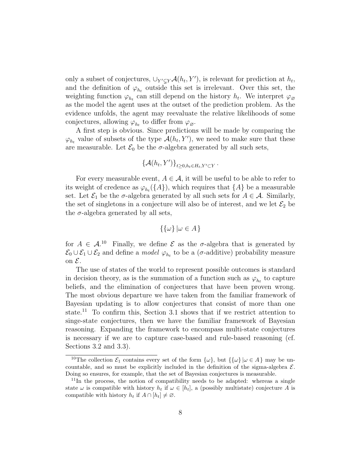only a subset of conjectures,  $\bigcup_{Y' \subseteq Y} \mathcal{A}(h_t, Y')$ , is relevant for prediction at  $h_t$ , and the definition of  $\varphi_{h_t}$  outside this set is irrelevant. Over this set, the weighting function  $\varphi_{h_t}$  can still depend on the history  $h_t$ . We interpret  $\varphi_{\varnothing}$ as the model the agent uses at the outset of the prediction problem. As the evidence unfolds, the agent may reevaluate the relative likelihoods of some conjectures, allowing  $\varphi_{h_t}$  to differ from  $\varphi_{\varnothing}$ .

A first step is obvious. Since predictions will be made by comparing the  $\varphi_{h_t}$  value of subsets of the type  $\mathcal{A}(h_t, Y')$ , we need to make sure that these are measurable. Let  $\mathcal{E}_0$  be the  $\sigma$ -algebra generated by all such sets,

$$
\{\mathcal{A}(h_t, Y')\}_{t \geq 0, h_t \in H_t, Y' \subset Y}
$$

.

For every measurable event,  $A \in \mathcal{A}$ , it will be useful to be able to refer to its weight of credence as  $\varphi_{h_t}(\{A\})$ , which requires that  $\{A\}$  be a measurable set. Let  $\mathcal{E}_1$  be the  $\sigma$ -algebra generated by all such sets for  $A \in \mathcal{A}$ . Similarly, the set of singletons in a conjecture will also be of interest, and we let  $\mathcal{E}_2$  be the  $\sigma$ -algebra generated by all sets,

$$
\{\{\omega\} \mid \omega \in A\}
$$

for  $A \in \mathcal{A}$ .<sup>10</sup> Finally, we define  $\mathcal E$  as the  $\sigma$ -algebra that is generated by  $\mathcal{E}_0 \cup \mathcal{E}_1 \cup \mathcal{E}_2$  and define a *model*  $\varphi_{h_t}$  to be a ( $\sigma$ -additive) probability measure on  $\mathcal{E}$ .

The use of states of the world to represent possible outcomes is standard in decision theory, as is the summation of a function such as  $\varphi_{h_t}$  to capture beliefs, and the elimination of conjectures that have been proven wrong. The most obvious departure we have taken from the familiar framework of Bayesian updating is to allow conjectures that consist of more than one state.<sup>11</sup> To confirm this, Section 3.1 shows that if we restrict attention to singe-state conjectures, then we have the familiar framework of Bayesian reasoning. Expanding the framework to encompass multi-state conjectures is necessary if we are to capture case-based and rule-based reasoning (cf. Sections 3.2 and 3.3).

<sup>&</sup>lt;sup>10</sup>The collection  $\mathcal{E}_1$  contains every set of the form  $\{\omega\}$ , but  $\{\{\omega\} | \omega \in A\}$  may be uncountable, and so must be explicitly included in the definition of the sigma-algebra  $\mathcal{E}$ . Doing so ensures, for example, that the set of Bayesian conjectures is measurable.

<sup>&</sup>lt;sup>11</sup>In the process, the notion of compatibility needs to be adapted: whereas a single state  $\omega$  is compatible with history  $h_t$  if  $\omega \in [h_t]$ , a (possibly multistate) conjecture A is compatible with history  $h_t$  if  $A \cap [h_t] \neq \emptyset$ .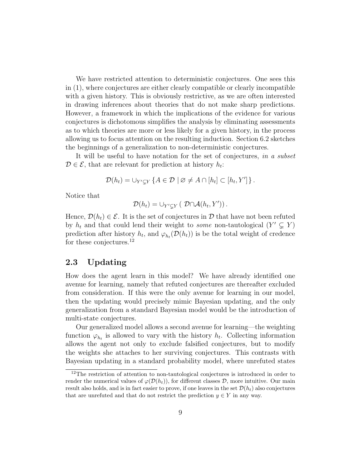We have restricted attention to deterministic conjectures. One sees this in (1), where conjectures are either clearly compatible or clearly incompatible with a given history. This is obviously restrictive, as we are often interested in drawing inferences about theories that do not make sharp predictions. However, a framework in which the implications of the evidence for various conjectures is dichotomous simplifies the analysis by eliminating assessments as to which theories are more or less likely for a given history, in the process allowing us to focus attention on the resulting induction. Section 6.2 sketches the beginnings of a generalization to non-deterministic conjectures.

It will be useful to have notation for the set of conjectures, in a subset  $\mathcal{D} \in \mathcal{E}$ , that are relevant for prediction at history  $h_t$ :

$$
\mathcal{D}(h_t) = \bigcup_{Y' \subseteq Y} \left\{ A \in \mathcal{D} \mid \varnothing \neq A \cap [h_t] \subset [h_t, Y'] \right\}.
$$

Notice that

$$
\mathcal{D}(h_t) = \cup_{Y' \subseteq Y} (\mathcal{D} \cap \mathcal{A}(h_t, Y')).
$$

Hence,  $\mathcal{D}(h_t) \in \mathcal{E}$ . It is the set of conjectures in  $\mathcal{D}$  that have not been refuted by  $h_t$  and that could lend their weight to some non-tautological  $(Y' \subsetneq Y)$ prediction after history  $h_t$ , and  $\varphi_{h_t}(\mathcal{D}(h_t))$  is be the total weight of credence for these conjectures.<sup>12</sup>

## 2.3 Updating

How does the agent learn in this model? We have already identified one avenue for learning, namely that refuted conjectures are thereafter excluded from consideration. If this were the only avenue for learning in our model, then the updating would precisely mimic Bayesian updating, and the only generalization from a standard Bayesian model would be the introduction of multi-state conjectures.

Our generalized model allows a second avenue for learning—the weighting function  $\varphi_{h_t}$  is allowed to vary with the history  $h_t$ . Collecting information allows the agent not only to exclude falsified conjectures, but to modify the weights she attaches to her surviving conjectures. This contrasts with Bayesian updating in a standard probability model, where unrefuted states

 $12$ The restriction of attention to non-tautological conjectures is introduced in order to render the numerical values of  $\varphi(\mathcal{D}(h_t))$ , for different classes D, more intuitive. Our main result also holds, and is in fact easier to prove, if one leaves in the set  $\mathcal{D}(h_t)$  also conjectures that are unrefuted and that do not restrict the prediction  $y \in Y$  in any way.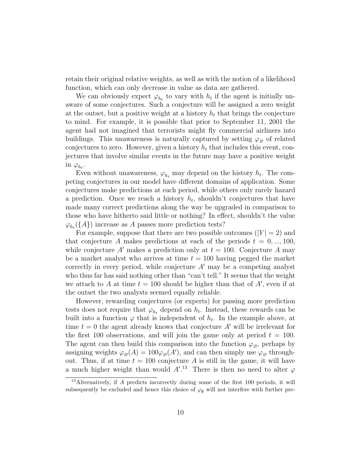retain their original relative weights, as well as with the notion of a likelihood function, which can only decrease in value as data are gathered.

We can obviously expect  $\varphi_{h_t}$  to vary with  $h_t$  if the agent is initially unaware of some conjectures. Such a conjecture will be assigned a zero weight at the outset, but a positive weight at a history  $h_t$  that brings the conjecture to mind. For example, it is possible that prior to September 11, 2001 the agent had not imagined that terrorists might fly commercial airliners into buildings. This unawareness is naturally captured by setting  $\varphi_{\alpha}$  of related conjectures to zero. However, given a history  $h_t$  that includes this event, conjectures that involve similar events in the future may have a positive weight in  $\varphi_{h_t}$ .

Even without unawareness,  $\varphi_{h_t}$  may depend on the history  $h_t$ . The competing conjectures in our model have different domains of application. Some conjectures make predictions at each period, while others only rarely hazard a prediction. Once we reach a history  $h_t$ , shouldn't conjectures that have made many correct predictions along the way be upgraded in comparison to those who have hitherto said little or nothing? In effect, shouldn't the value  $\varphi_{h_t}(\{A\})$  increase as A passes more prediction tests?

For example, suppose that there are two possible outcomes  $(|Y| = 2)$  and that conjecture A makes predictions at each of the periods  $t = 0, ..., 100$ , while conjecture A' makes a prediction only at  $t = 100$ . Conjecture A may be a market analyst who arrives at time  $t = 100$  having pegged the market correctly in every period, while conjecture  $A'$  may be a competing analyst who thus far has said nothing other than "can't tell." It seems that the weight we attach to A at time  $t = 100$  should be higher than that of  $A'$ , even if at the outset the two analysts seemed equally reliable.

However, rewarding conjectures (or experts) for passing more prediction tests does not require that  $\varphi_{h_t}$  depend on  $h_t$ . Instead, these rewards can be built into a function  $\varphi$  that is independent of  $h_t$ . In the example above, at time  $t = 0$  the agent already knows that conjecture A' will be irrelevant for the first 100 observations, and will join the game only at period  $t = 100$ . The agent can then build this comparison into the function  $\varphi_{\varnothing}$ , perhaps by assigning weights  $\varphi_{\mathcal{O}}(A) = 100 \varphi_{\mathcal{O}}(A')$ , and can then simply use  $\varphi_{\mathcal{O}}$  throughout. Thus, if at time  $t = 100$  conjecture A is still in the game, it will have a much higher weight than would  $A^{\prime}$ .<sup>13</sup> There is then no need to alter  $\varphi$ 

<sup>&</sup>lt;sup>13</sup>Alternatively, if A predicts incorrectly during some of the first 100 periods, it will subsequently be excluded and hence this choice of  $\varphi_{\emptyset}$  will not interfere with further pre-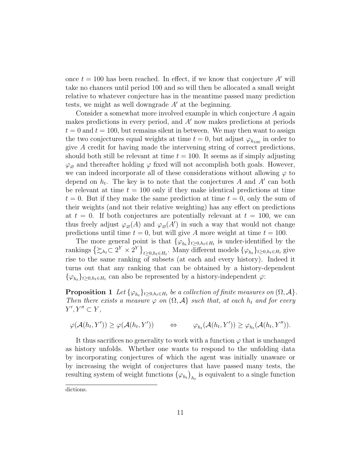once  $t = 100$  has been reached. In effect, if we know that conjecture A' will take no chances until period 100 and so will then be allocated a small weight relative to whatever conjecture has in the meantime passed many prediction tests, we might as well downgrade  $A'$  at the beginning.

Consider a somewhat more involved example in which conjecture A again makes predictions in every period, and  $A'$  now makes predictions at periods  $t = 0$  and  $t = 100$ , but remains silent in between. We may then want to assign the two conjectures equal weights at time  $t = 0$ , but adjust  $\varphi_{h_{100}}$  in order to give A credit for having made the intervening string of correct predictions, should both still be relevant at time  $t = 100$ . It seems as if simply adjusting  $\varphi_{\emptyset}$  and thereafter holding  $\varphi$  fixed will not accomplish both goals. However, we can indeed incorporate all of these considerations without allowing  $\varphi$  to depend on  $h_t$ . The key is to note that the conjectures A and A' can both be relevant at time  $t = 100$  only if they make identical predictions at time  $t = 0$ . But if they make the same prediction at time  $t = 0$ , only the sum of their weights (and not their relative weighting) has any effect on predictions at  $t = 0$ . If both conjectures are potentially relevant at  $t = 100$ , we can thus freely adjust  $\varphi_{\mathcal{O}}(A)$  and  $\varphi_{\mathcal{O}}(A')$  in such a way that would not change predictions until time  $t = 0$ , but will give A more weight at time  $t = 100$ .

The more general point is that  $\{\varphi_{h_t}\}_{t\geq 0, h_t\in H_t}$  is under-identified by the rankings  $\{\xi_{h_t} \subset 2^Y \times 2^Y\}_{t \geq 0, h_t \in H_t}$ . Many different models  $\{\varphi_{h_t}\}_{t \geq 0, h_t \in H_t}$  give rise to the same ranking of subsets (at each and every history). Indeed it turns out that any ranking that can be obtained by a history-dependent  $\{\varphi_{h_t}\}_{t\geq 0, h_t\in H_t}$  can also be represented by a history-independent  $\varphi$ :

**Proposition 1** Let  $\{\varphi_{h_t}\}_{t\geq 0, h_t \in H_t}$  be a collection of finite measures on  $(\Omega, \mathcal{A})$ . Then there exists a measure  $\varphi$  on  $(\Omega, \mathcal{A})$  such that, at each  $h_t$  and for every  $Y', Y'' \subset Y,$ 

$$
\varphi(\mathcal{A}(h_t, Y')) \geq \varphi(\mathcal{A}(h_t, Y')) \qquad \Leftrightarrow \qquad \varphi_{h_t}(\mathcal{A}(h_t, Y')) \geq \varphi_{h_t}(\mathcal{A}(h_t, Y'')).
$$

It thus sacrifices no generality to work with a function  $\varphi$  that is unchanged as history unfolds. Whether one wants to respond to the unfolding data by incorporating conjectures of which the agent was initially unaware or by increasing the weight of conjectures that have passed many tests, the resulting system of weight functions  $(\varphi_{h_t})_{h_t}$  is equivalent to a single function

dictions.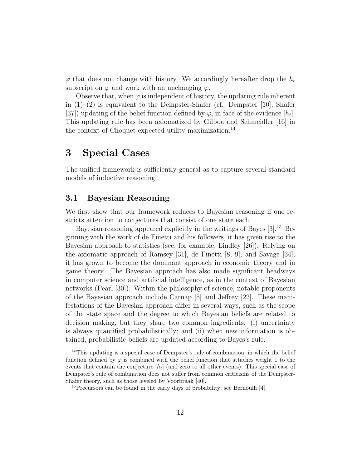$\varphi$  that does not change with history. We accordingly hereafter drop the  $h_t$ subscript on  $\varphi$  and work with an unchanging  $\varphi$ .

Observe that, when  $\varphi$  is independent of history, the updating rule inherent in  $(1)$ – $(2)$  is equivalent to the Dempster-Shafer (cf. Dempster [10], Shafer [37]) updating of the belief function defined by  $\varphi$ , in face of the evidence  $[h_t]$ . This updating rule has been axiomatized by Gilboa and Schmeidler [16] in the context of Choquet expected utility maximization.<sup>14</sup>

## 3 Special Cases

The unified framework is sufficiently general as to capture several standard models of inductive reasoning.

## 3.1 Bayesian Reasoning

We first show that our framework reduces to Bayesian reasoning if one restricts attention to conjectures that consist of one state each.

Bayesian reasoning appeared explicitly in the writings of Bayes [3].<sup>15</sup> Beginning with the work of de Finetti and his followers, it has given rise to the Bayesian approach to statistics (see, for example, Lindley [26]). Relying on the axiomatic approach of Ramsey [31], de Finetti [8, 9], and Savage [34], it has grown to become the dominant approach in economic theory and in game theory. The Bayesian approach has also made significant headways in computer science and artificial intelligence, as in the context of Bayesian networks (Pearl [30]). Within the philosophy of science, notable proponents of the Bayesian approach include Carnap [5] and Jeffrey [22]. These manifestations of the Bayesian approach differ in several ways, such as the scope of the state space and the degree to which Bayesian beliefs are related to decision making, but they share two common ingredients: (i) uncertainty is always quantified probabilistically; and (ii) when new information is obtained, probabilistic beliefs are updated according to Bayes's rule.

<sup>&</sup>lt;sup>14</sup>This updating is a special case of Dempster's rule of combination, in which the belief function defined by  $\varphi$  is combined with the belief function that attaches weight 1 to the events that contain the conjecture  $[h_t]$  (and zero to all other events). This special case of Dempster's rule of combination does not suffer from common criticisms of the Dempster-Shafer theory, such as those leveled by Voorbraak [40].

<sup>&</sup>lt;sup>15</sup>Precursors can be found in the early days of probability; see Bernoulli [4].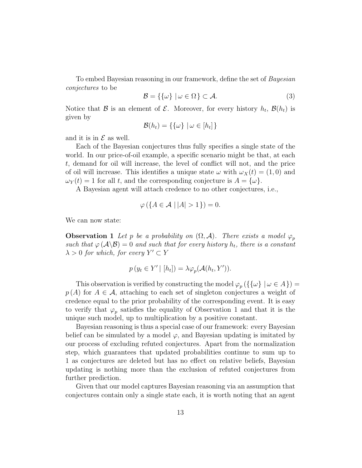To embed Bayesian reasoning in our framework, define the set of Bayesian conjectures to be

$$
\mathcal{B} = \{ \{\omega\} \mid \omega \in \Omega \} \subset \mathcal{A}.\tag{3}
$$

Notice that  $\mathcal B$  is an element of  $\mathcal E$ . Moreover, for every history  $h_t$ ,  $\mathcal B(h_t)$  is given by

$$
\mathcal{B}(h_t) = \{\{\omega\} \mid \omega \in [h_t]\}
$$

and it is in  $\mathcal E$  as well.

Each of the Bayesian conjectures thus fully specifies a single state of the world. In our price-of-oil example, a specific scenario might be that, at each t, demand for oil will increase, the level of conflict will not, and the price of oil will increase. This identifies a unique state  $\omega$  with  $\omega_X(t) = (1,0)$  and  $\omega_Y(t) = 1$  for all t, and the corresponding conjecture is  $A = {\omega}.$ 

A Bayesian agent will attach credence to no other conjectures, i.e.,

$$
\varphi\left(\{A \in \mathcal{A} \mid |A| > 1\}\right) = 0.
$$

We can now state:

**Observation 1** Let p be a probability on  $(\Omega, \mathcal{A})$ . There exists a model  $\varphi_p$ such that  $\varphi(\mathcal{A}\backslash\mathcal{B})=0$  and such that for every history  $h_t$ , there is a constant  $\lambda > 0$  for which, for every  $Y' \subset Y$ 

$$
p(y_t \in Y' | [h_t]) = \lambda \varphi_p(\mathcal{A}(h_t, Y')).
$$

This observation is verified by constructing the model  $\varphi_p(\{\{\omega\} \mid \omega \in A\}) =$  $p(A)$  for  $A \in \mathcal{A}$ , attaching to each set of singleton conjectures a weight of credence equal to the prior probability of the corresponding event. It is easy to verify that  $\varphi_p$  satisfies the equality of Observation 1 and that it is the unique such model, up to multiplication by a positive constant.

Bayesian reasoning is thus a special case of our framework: every Bayesian belief can be simulated by a model  $\varphi$ , and Bayesian updating is imitated by our process of excluding refuted conjectures. Apart from the normalization step, which guarantees that updated probabilities continue to sum up to 1 as conjectures are deleted but has no effect on relative beliefs, Bayesian updating is nothing more than the exclusion of refuted conjectures from further prediction.

Given that our model captures Bayesian reasoning via an assumption that conjectures contain only a single state each, it is worth noting that an agent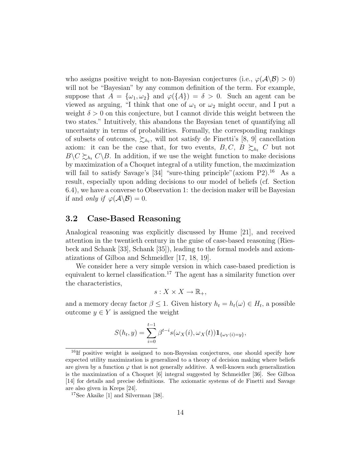who assigns positive weight to non-Bayesian conjectures (i.e.,  $\varphi(\mathcal{A}\setminus\mathcal{B})>0$ ) will not be "Bayesian" by any common definition of the term. For example, suppose that  $A = {\omega_1, \omega_2}$  and  $\varphi({A}) = \delta > 0$ . Such an agent can be viewed as arguing, "I think that one of  $\omega_1$  or  $\omega_2$  might occur, and I put a weight  $\delta > 0$  on this conjecture, but I cannot divide this weight between the two states." Intuitively, this abandons the Bayesian tenet of quantifying all uncertainty in terms of probabilities. Formally, the corresponding rankings of subsets of outcomes,  $\succsim_{h_t}$ , will not satisfy de Finetti's [8, 9] cancellation axiom: it can be the case that, for two events,  $B, C, B \succeq_{h_t} C$  but not  $B\setminus C\succsim_{h_t} C\setminus B$ . In addition, if we use the weight function to make decisions by maximization of a Choquet integral of a utility function, the maximization will fail to satisfy Savage's  $[34]$  "sure-thing principle" (axiom P2).<sup>16</sup> As a result, especially upon adding decisions to our model of beliefs (cf. Section 6.4), we have a converse to Observation 1: the decision maker will be Bayesian if and *only if*  $\varphi(\mathcal{A}\backslash\mathcal{B})=0$ .

## 3.2 Case-Based Reasoning

Analogical reasoning was explicitly discussed by Hume [21], and received attention in the twentieth century in the guise of case-based reasoning (Riesbeck and Schank [33], Schank [35]), leading to the formal models and axiomatizations of Gilboa and Schmeidler [17, 18, 19].

We consider here a very simple version in which case-based prediction is equivalent to kernel classification.<sup>17</sup> The agent has a similarity function over the characteristics,

$$
s: X \times X \to \mathbb{R}_+,
$$

and a memory decay factor  $\beta \leq 1$ . Given history  $h_t = h_t(\omega) \in H_t$ , a possible outcome  $y \in Y$  is assigned the weight

$$
S(h_t, y) = \sum_{i=0}^{t-1} \beta^{t-i} s(\omega_X(i), \omega_X(t)) \mathbf{1}_{\{\omega_Y(i) = y\}},
$$

<sup>16</sup>If positive weight is assigned to non-Bayesian conjectures, one should specify how expected utility maximization is generalized to a theory of decision making where beliefs are given by a function  $\varphi$  that is not generally additive. A well-known such generalization is the maximization of a Choquet [6] integral suggested by Schmeidler [36]. See Gilboa [14] for details and precise definitions. The axiomatic systems of de Finetti and Savage are also given in Kreps [24].

<sup>&</sup>lt;sup>17</sup>See Akaike [1] and Silverman [38].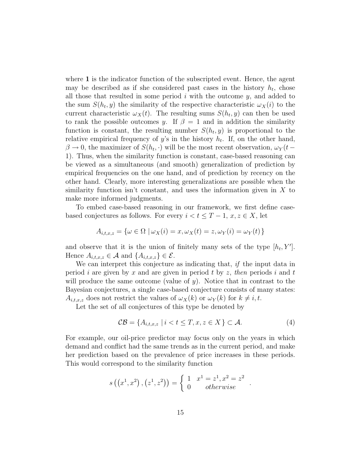where 1 is the indicator function of the subscripted event. Hence, the agent may be described as if she considered past cases in the history  $h_t$ , chose all those that resulted in some period  $i$  with the outcome  $y$ , and added to the sum  $S(h_t, y)$  the similarity of the respective characteristic  $\omega_X(i)$  to the current characteristic  $\omega_X(t)$ . The resulting sums  $S(h_t, y)$  can then be used to rank the possible outcomes y. If  $\beta = 1$  and in addition the similarity function is constant, the resulting number  $S(h_t, y)$  is proportional to the relative empirical frequency of  $y$ 's in the history  $h_t$ . If, on the other hand,  $\beta \to 0$ , the maximizer of  $S(h_t, \cdot)$  will be the most recent observation,  $\omega_Y(t -$ 1). Thus, when the similarity function is constant, case-based reasoning can be viewed as a simultaneous (and smooth) generalization of prediction by empirical frequencies on the one hand, and of prediction by recency on the other hand. Clearly, more interesting generalizations are possible when the similarity function isn't constant, and uses the information given in  $X$  to make more informed judgments.

To embed case-based reasoning in our framework, we first define casebased conjectures as follows. For every  $i < t \leq T-1$ ,  $x, z \in X$ , let

$$
A_{i,t,x,z} = \{ \omega \in \Omega \mid \omega_X(i) = x, \omega_X(t) = z, \omega_Y(i) = \omega_Y(t) \}
$$

and observe that it is the union of finitely many sets of the type  $[h_t, Y']$ . Hence  $A_{i,t,x,z} \in \mathcal{A}$  and  $\{A_{i,t,x,z}\}\in \mathcal{E}$ .

We can interpret this conjecture as indicating that, if the input data in period i are given by x and are given in period t by z, then periods i and t will produce the same outcome (value of  $y$ ). Notice that in contrast to the Bayesian conjectures, a single case-based conjecture consists of many states:  $A_{i,t,x,z}$  does not restrict the values of  $\omega_X(k)$  or  $\omega_Y(k)$  for  $k \neq i, t$ .

Let the set of all conjectures of this type be denoted by

$$
\mathcal{CB} = \{A_{i,t,x,z} \mid i < t \leq T, x, z \in X\} \subset \mathcal{A}.\tag{4}
$$

For example, our oil-price predictor may focus only on the years in which demand and conflict had the same trends as in the current period, and make her prediction based on the prevalence of price increases in these periods. This would correspond to the similarity function

$$
s((x^1, x^2), (z^1, z^2)) = \begin{cases} 1 & x^1 = z^1, x^2 = z^2 \\ 0 & otherwise \end{cases}.
$$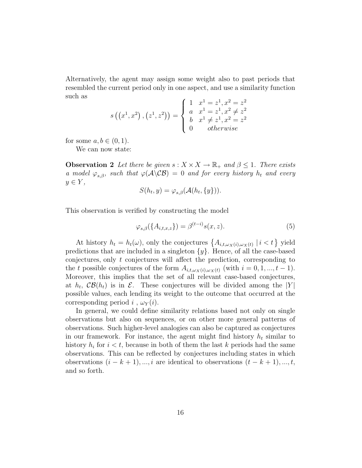Alternatively, the agent may assign some weight also to past periods that resembled the current period only in one aspect, and use a similarity function such as  $\overline{1}$ 1

$$
s\left(\left(x^{1},x^{2}\right),\left(z^{1},z^{2}\right)\right) = \begin{cases} 1 & x^{1} = z^{1}, x^{2} = z^{2} \\ a & x^{1} = z^{1}, x^{2} \neq z^{2} \\ b & x^{1} \neq z^{1}, x^{2} = z^{2} \\ 0 & otherwise \end{cases}
$$

for some  $a, b \in (0, 1)$ .

We can now state:

**Observation 2** Let there be given  $s : X \times X \to \mathbb{R}_+$  and  $\beta \leq 1$ . There exists a model  $\varphi_{s,\beta}$ , such that  $\varphi(\mathcal{A}\backslash\mathcal{CB})=0$  and for every history  $h_t$  and every  $y \in Y$ ,

$$
S(h_t, y) = \varphi_{s,\beta}(\mathcal{A}(h_t, \{y\})).
$$

This observation is verified by constructing the model

$$
\varphi_{s,\beta}(\lbrace A_{i,t,x,z}\rbrace) = \beta^{(t-i)}s(x,z). \tag{5}
$$

At history  $h_t = h_t(\omega)$ , only the conjectures  $\{A_{i,t,\omega_X(i),\omega_X(i)} \mid i < t\}$  yield predictions that are included in a singleton  $\{y\}$ . Hence, of all the case-based conjectures, only  $t$  conjectures will affect the prediction, corresponding to the t possible conjectures of the form  $A_{i,t,\omega_X(i),\omega_X(i)}$  (with  $i = 0,1,...,t-1$ ). Moreover, this implies that the set of all relevant case-based conjectures, at  $h_t$ ,  $\mathcal{CB}(h_t)$  is in  $\mathcal{E}$ . These conjectures will be divided among the  $|Y|$ possible values, each lending its weight to the outcome that occurred at the corresponding period i,  $\omega_Y(i)$ .

In general, we could define similarity relations based not only on single observations but also on sequences, or on other more general patterns of observations. Such higher-level analogies can also be captured as conjectures in our framework. For instance, the agent might find history  $h_t$  similar to history  $h_i$  for  $i < t$ , because in both of them the last k periods had the same observations. This can be reflected by conjectures including states in which observations  $(i - k + 1), ..., i$  are identical to observations  $(t - k + 1), ..., t$ , and so forth.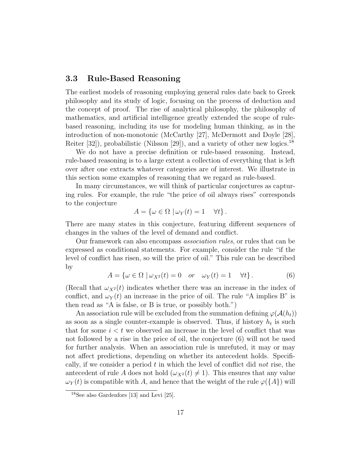## 3.3 Rule-Based Reasoning

The earliest models of reasoning employing general rules date back to Greek philosophy and its study of logic, focusing on the process of deduction and the concept of proof. The rise of analytical philosophy, the philosophy of mathematics, and artificial intelligence greatly extended the scope of rulebased reasoning, including its use for modeling human thinking, as in the introduction of non-monotonic (McCarthy [27], McDermott and Doyle [28], Reiter [32]), probabilistic (Nilsson [29]), and a variety of other new logics.<sup>18</sup>

We do not have a precise definition or rule-based reasoning. Instead, rule-based reasoning is to a large extent a collection of everything that is left over after one extracts whatever categories are of interest. We illustrate in this section some examples of reasoning that we regard as rule-based.

In many circumstances, we will think of particular conjectures as capturing rules. For example, the rule "the price of oil always rises" corresponds to the conjecture

$$
A = \{ \omega \in \Omega \mid \omega_Y(t) = 1 \quad \forall t \}.
$$

There are many states in this conjecture, featuring different sequences of changes in the values of the level of demand and conflict.

Our framework can also encompass association rules, or rules that can be expressed as conditional statements. For example, consider the rule "if the level of conflict has risen, so will the price of oil." This rule can be described by

$$
A = \{ \omega \in \Omega \mid \omega_{X^2}(t) = 0 \quad or \quad \omega_Y(t) = 1 \quad \forall t \}.
$$
 (6)

(Recall that  $\omega_{X^2}(t)$  indicates whether there was an increase in the index of conflict, and  $\omega_Y(t)$  an increase in the price of oil. The rule "A implies B" is then read as "A is false, or B is true, or possibly both.")

An association rule will be excluded from the summation defining  $\varphi(\mathcal{A}(h_t))$ as soon as a single counter-example is observed. Thus, if history  $h_t$  is such that for some  $i < t$  we observed an increase in the level of conflict that was not followed by a rise in the price of oil, the conjecture (6) will not be used for further analysis. When an association rule is unrefuted, it may or may not affect predictions, depending on whether its antecedent holds. Specifically, if we consider a period  $t$  in which the level of conflict did not rise, the antecedent of rule A does not hold  $(\omega_{X^2}(t) \neq 1)$ . This ensures that any value  $\omega_Y(t)$  is compatible with A, and hence that the weight of the rule  $\varphi(\lbrace A \rbrace)$  will

<sup>18</sup>See also Gardenfors [13] and Levi [25].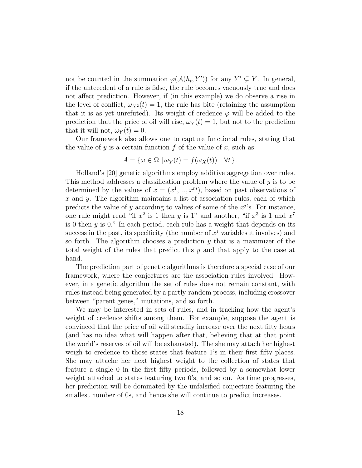not be counted in the summation  $\varphi(\mathcal{A}(h_t, Y'))$  for any  $Y' \subsetneq Y$ . In general, if the antecedent of a rule is false, the rule becomes vacuously true and does not affect prediction. However, if (in this example) we do observe a rise in the level of conflict,  $\omega_{X^2}(t) = 1$ , the rule has bite (retaining the assumption that it is as yet unrefuted). Its weight of credence  $\varphi$  will be added to the prediction that the price of oil will rise,  $\omega_Y(t) = 1$ , but not to the prediction that it will not,  $\omega_Y(t) = 0$ .

Our framework also allows one to capture functional rules, stating that the value of  $y$  is a certain function f of the value of x, such as

$$
A = \{ \omega \in \Omega \mid \omega_Y(t) = f(\omega_X(t)) \quad \forall t \}.
$$

Holland's [20] genetic algorithms employ additive aggregation over rules. This method addresses a classification problem where the value of  $y$  is to be determined by the values of  $x = (x^1, ..., x^m)$ , based on past observations of  $x$  and  $y$ . The algorithm maintains a list of association rules, each of which predicts the value of y according to values of some of the  $x^j$ 's. For instance, one rule might read "if  $x^2$  is 1 then y is 1" and another, "if  $x^3$  is 1 and  $x^7$ is 0 then  $y$  is 0." In each period, each rule has a weight that depends on its success in the past, its specificity (the number of  $x^j$  variables it involves) and so forth. The algorithm chooses a prediction y that is a maximizer of the total weight of the rules that predict this y and that apply to the case at hand.

The prediction part of genetic algorithms is therefore a special case of our framework, where the conjectures are the association rules involved. However, in a genetic algorithm the set of rules does not remain constant, with rules instead being generated by a partly-random process, including crossover between "parent genes," mutations, and so forth.

We may be interested in sets of rules, and in tracking how the agent's weight of credence shifts among them. For example, suppose the agent is convinced that the price of oil will steadily increase over the next fifty hears (and has no idea what will happen after that, believing that at that point the world's reserves of oil will be exhausted). The she may attach her highest weigh to credence to those states that feature 1's in their first fifty places. She may attache her next highest weight to the collection of states that feature a single 0 in the first fifty periods, followed by a somewhat lower weight attached to states featuring two 0's, and so on. As time progresses, her prediction will be dominated by the unfalsified conjecture featuring the smallest number of 0s, and hence she will continue to predict increases.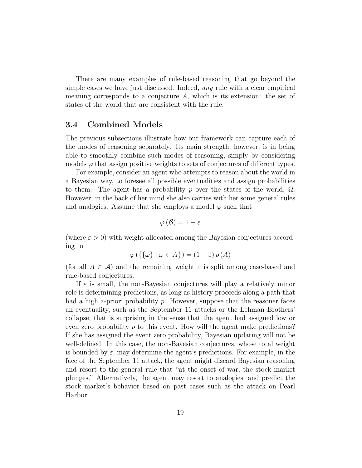There are many examples of rule-based reasoning that go beyond the simple cases we have just discussed. Indeed, any rule with a clear empirical meaning corresponds to a conjecture  $A$ , which is its extension: the set of states of the world that are consistent with the rule.

### 3.4 Combined Models

The previous subsections illustrate how our framework can capture each of the modes of reasoning separately. Its main strength, however, is in being able to smoothly combine such modes of reasoning, simply by considering models  $\varphi$  that assign positive weights to sets of conjectures of different types.

For example, consider an agent who attempts to reason about the world in a Bayesian way, to foresee all possible eventualities and assign probabilities to them. The agent has a probability p over the states of the world,  $\Omega$ . However, in the back of her mind she also carries with her some general rules and analogies. Assume that she employs a model  $\varphi$  such that

$$
\varphi\left(\mathcal{B}\right)=1-\varepsilon
$$

(where  $\varepsilon > 0$ ) with weight allocated among the Bayesian conjectures according to

$$
\varphi\left(\left\{\left\{\omega\right\} \mid \omega \in A\right\}\right) = \left(1 - \varepsilon\right)p\left(A\right)
$$

(for all  $A \in \mathcal{A}$ ) and the remaining weight  $\varepsilon$  is split among case-based and rule-based conjectures.

If  $\varepsilon$  is small, the non-Bayesian conjectures will play a relatively minor role is determining predictions, as long as history proceeds along a path that had a high a-priori probability  $p$ . However, suppose that the reasoner faces an eventuality, such as the September 11 attacks or the Lehman Brothers' collapse, that is surprising in the sense that the agent had assigned low or even zero probability  $p$  to this event. How will the agent make predictions? If she has assigned the event zero probability, Bayesian updating will not be well-defined. In this case, the non-Bayesian conjectures, whose total weight is bounded by  $\varepsilon$ , may determine the agent's predictions. For example, in the face of the September 11 attack, the agent might discard Bayesian reasoning and resort to the general rule that "at the onset of war, the stock market plunges." Alternatively, the agent may resort to analogies, and predict the stock market's behavior based on past cases such as the attack on Pearl Harbor.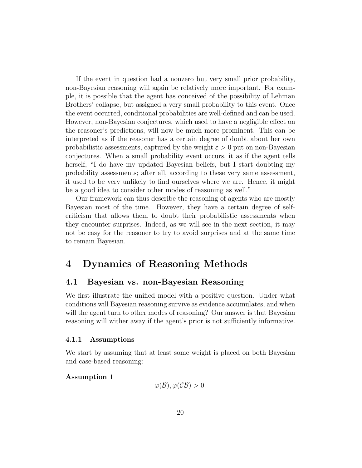If the event in question had a nonzero but very small prior probability, non-Bayesian reasoning will again be relatively more important. For example, it is possible that the agent has conceived of the possibility of Lehman Brothers' collapse, but assigned a very small probability to this event. Once the event occurred, conditional probabilities are well-defined and can be used. However, non-Bayesian conjectures, which used to have a negligible effect on the reasoner's predictions, will now be much more prominent. This can be interpreted as if the reasoner has a certain degree of doubt about her own probabilistic assessments, captured by the weight  $\varepsilon > 0$  put on non-Bayesian conjectures. When a small probability event occurs, it as if the agent tells herself, "I do have my updated Bayesian beliefs, but I start doubting my probability assessments; after all, according to these very same assessment, it used to be very unlikely to find ourselves where we are. Hence, it might be a good idea to consider other modes of reasoning as well."

Our framework can thus describe the reasoning of agents who are mostly Bayesian most of the time. However, they have a certain degree of selfcriticism that allows them to doubt their probabilistic assessments when they encounter surprises. Indeed, as we will see in the next section, it may not be easy for the reasoner to try to avoid surprises and at the same time to remain Bayesian.

## 4 Dynamics of Reasoning Methods

## 4.1 Bayesian vs. non-Bayesian Reasoning

We first illustrate the unified model with a positive question. Under what conditions will Bayesian reasoning survive as evidence accumulates, and when will the agent turn to other modes of reasoning? Our answer is that Bayesian reasoning will wither away if the agent's prior is not sufficiently informative.

#### 4.1.1 Assumptions

We start by assuming that at least some weight is placed on both Bayesian and case-based reasoning:

#### Assumption 1

$$
\varphi(\mathcal{B}), \varphi(\mathcal{C}\mathcal{B}) > 0.
$$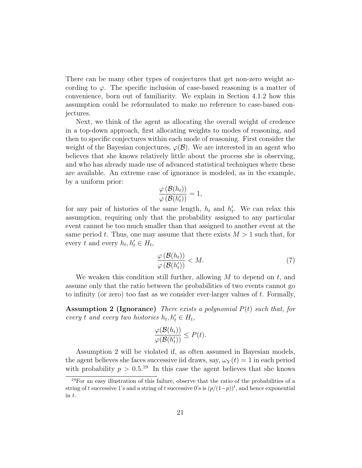There can be many other types of conjectures that get non-zero weight according to  $\varphi$ . The specific inclusion of case-based reasoning is a matter of convenience, born out of familiarity. We explain in Section 4.1.2 how this assumption could be reformulated to make no reference to case-based conjectures.

Next, we think of the agent as allocating the overall weight of credence in a top-down approach, first allocating weights to modes of reasoning, and then to specific conjectures within each mode of reasoning. First consider the weight of the Bayesian conjectures,  $\varphi(\mathcal{B})$ . We are interested in an agent who believes that she knows relatively little about the process she is observing, and who has already made use of advanced statistical techniques where these are available. An extreme case of ignorance is modeled, as in the example, by a uniform prior:

$$
\frac{\varphi(\mathcal{B}(h_t))}{\varphi(\mathcal{B}(h'_t))}=1,
$$

for any pair of histories of the same length,  $h_t$  and  $h'_t$ . We can relax this assumption, requiring only that the probability assigned to any particular event cannot be too much smaller than that assigned to another event at the same period t. Thus, one may assume that there exists  $M > 1$  such that, for every t and every  $h_t, h'_t \in H_t$ ,

$$
\frac{\varphi\left(\mathcal{B}(h_t)\right)}{\varphi\left(\mathcal{B}(h'_t)\right)} < M. \tag{7}
$$

We weaken this condition still further, allowing  $M$  to depend on  $t$ , and assume only that the ratio between the probabilities of two events cannot go to infinity (or zero) too fast as we consider ever-larger values of  $t$ . Formally,

**Assumption 2 (Ignorance)** There exists a polynomial  $P(t)$  such that, for every t and every two histories  $h_t, h'_t \in H_t$ ,

$$
\frac{\varphi(\mathcal{B}(h_t))}{\varphi(\mathcal{B}(h'_t))} \le P(t).
$$

Assumption 2 will be violated if, as often assumed in Bayesian models, the agent believes she faces successive iid draws, say,  $\omega_Y(t) = 1$  in each period with probability  $p > 0.5^{19}$  In this case the agent believes that she knows

<sup>19</sup>For an easy illustration of this failure, observe that the ratio of the probabilities of a string of t successive 1's and a string of t successive 0's is  $(p/(1-p))$ <sup>t</sup>, and hence exponential in t.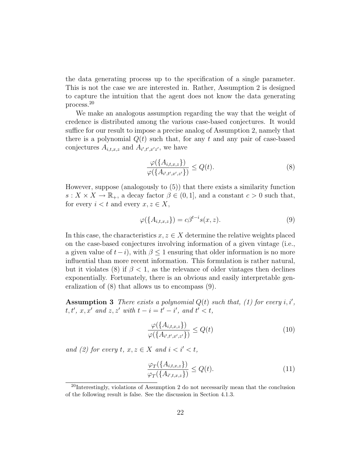the data generating process up to the specification of a single parameter. This is not the case we are interested in. Rather, Assumption 2 is designed to capture the intuition that the agent does not know the data generating process.<sup>20</sup>

We make an analogous assumption regarding the way that the weight of credence is distributed among the various case-based conjectures. It would suffice for our result to impose a precise analog of Assumption 2, namely that there is a polynomial  $Q(t)$  such that, for any t and any pair of case-based conjectures  $A_{i,t,x,z}$  and  $A_{i',t',x'z'}$ , we have

$$
\frac{\varphi(\{A_{i,t,x,z}\})}{\varphi(\{A_{i',t',x',z'}\})} \le Q(t). \tag{8}
$$

However, suppose (analogously to (5)) that there exists a similarity function  $s: X \times X \to \mathbb{R}_+$ , a decay factor  $\beta \in (0, 1]$ , and a constant  $c > 0$  such that, for every  $i < t$  and every  $x, z \in X$ ,

$$
\varphi(\lbrace A_{i,t,x,z}\rbrace) = c\beta^{t-i}s(x,z). \tag{9}
$$

In this case, the characteristics  $x, z \in X$  determine the relative weights placed on the case-based conjectures involving information of a given vintage (i.e., a given value of  $t-i$ , with  $\beta \leq 1$  ensuring that older information is no more influential than more recent information. This formulation is rather natural, but it violates (8) if  $\beta$  < 1, as the relevance of older vintages then declines exponentially. Fortunately, there is an obvious and easily interpretable generalization of (8) that allows us to encompass (9).

**Assumption 3** There exists a polynomial  $Q(t)$  such that, (1) for every i, i',  $t, t', x, x'$  and  $z, z'$  with  $t - i = t' - i'$ , and  $t' < t$ ,

$$
\frac{\varphi(\{A_{i,t,x,z}\})}{\varphi(\{A_{i',t',x',z'}\})} \le Q(t) \tag{10}
$$

and (2) for every t,  $x, z \in X$  and  $i < i' < t$ ,

$$
\frac{\varphi_T(\{A_{i,t,x,z}\})}{\varphi_T(\{A_{i',t,x,z}\})} \le Q(t). \tag{11}
$$

 $20$ Interestingly, violations of Assumption 2 do not necessarily mean that the conclusion of the following result is false. See the discussion in Section 4.1.3.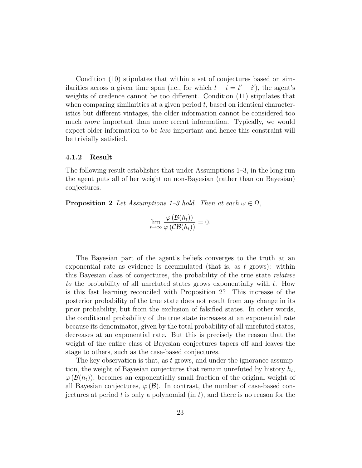Condition (10) stipulates that within a set of conjectures based on similarities across a given time span (i.e., for which  $t - i = t' - i'$ ), the agent's weights of credence cannot be too different. Condition (11) stipulates that when comparing similarities at a given period  $t$ , based on identical characteristics but different vintages, the older information cannot be considered too much *more* important than more recent information. Typically, we would expect older information to be less important and hence this constraint will be trivially satisfied.

#### 4.1.2 Result

The following result establishes that under Assumptions 1–3, in the long run the agent puts all of her weight on non-Bayesian (rather than on Bayesian) conjectures.

**Proposition 2** Let Assumptions 1–3 hold. Then at each  $\omega \in \Omega$ ,

$$
\lim_{t\to\infty}\frac{\varphi(\mathcal{B}(h_t))}{\varphi(\mathcal{C}\mathcal{B}(h_t))}=0.
$$

The Bayesian part of the agent's beliefs converges to the truth at an exponential rate as evidence is accumulated (that is, as  $t$  grows): within this Bayesian class of conjectures, the probability of the true state relative to the probability of all unrefuted states grows exponentially with t. How is this fast learning reconciled with Proposition 2? This increase of the posterior probability of the true state does not result from any change in its prior probability, but from the exclusion of falsified states. In other words, the conditional probability of the true state increases at an exponential rate because its denominator, given by the total probability of all unrefuted states, decreases at an exponential rate. But this is precisely the reason that the weight of the entire class of Bayesian conjectures tapers off and leaves the stage to others, such as the case-based conjectures.

The key observation is that, as  $t$  grows, and under the ignorance assumption, the weight of Bayesian conjectures that remain unrefuted by history  $h_t$ ,  $\varphi(\mathcal{B}(h_t))$ , becomes an exponentially small fraction of the original weight of all Bayesian conjectures,  $\varphi(\mathcal{B})$ . In contrast, the number of case-based conjectures at period t is only a polynomial (in t), and there is no reason for the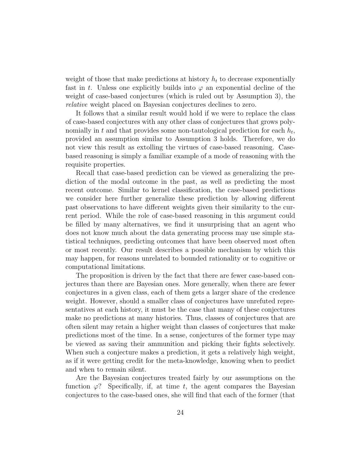weight of those that make predictions at history  $h_t$  to decrease exponentially fast in t. Unless one explicitly builds into  $\varphi$  an exponential decline of the weight of case-based conjectures (which is ruled out by Assumption 3), the relative weight placed on Bayesian conjectures declines to zero.

It follows that a similar result would hold if we were to replace the class of case-based conjectures with any other class of conjectures that grows polynomially in t and that provides some non-tautological prediction for each  $h_t$ , provided an assumption similar to Assumption 3 holds. Therefore, we do not view this result as extolling the virtues of case-based reasoning. Casebased reasoning is simply a familiar example of a mode of reasoning with the requisite properties.

Recall that case-based prediction can be viewed as generalizing the prediction of the modal outcome in the past, as well as predicting the most recent outcome. Similar to kernel classification, the case-based predictions we consider here further generalize these prediction by allowing different past observations to have different weights given their similarity to the current period. While the role of case-based reasoning in this argument could be filled by many alternatives, we find it unsurprising that an agent who does not know much about the data generating process may use simple statistical techniques, predicting outcomes that have been observed most often or most recently. Our result describes a possible mechanism by which this may happen, for reasons unrelated to bounded rationality or to cognitive or computational limitations.

The proposition is driven by the fact that there are fewer case-based conjectures than there are Bayesian ones. More generally, when there are fewer conjectures in a given class, each of them gets a larger share of the credence weight. However, should a smaller class of conjectures have unrefuted representatives at each history, it must be the case that many of these conjectures make no predictions at many histories. Thus, classes of conjectures that are often silent may retain a higher weight than classes of conjectures that make predictions most of the time. In a sense, conjectures of the former type may be viewed as saving their ammunition and picking their fights selectively. When such a conjecture makes a prediction, it gets a relatively high weight, as if it were getting credit for the meta-knowledge, knowing when to predict and when to remain silent.

Are the Bayesian conjectures treated fairly by our assumptions on the function  $\varphi$ ? Specifically, if, at time t, the agent compares the Bayesian conjectures to the case-based ones, she will find that each of the former (that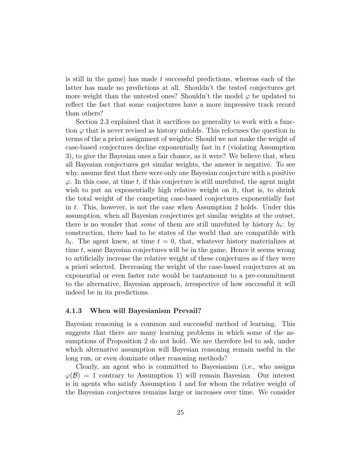is still in the game) has made t successful predictions, whereas each of the latter has made no predictions at all. Shouldn't the tested conjectures get more weight than the untested ones? Shouldn't the model  $\varphi$  be updated to reflect the fact that some conjectures have a more impressive track record than others?

Section 2.3 explained that it sacrifices no generality to work with a function  $\varphi$  that is never revised as history unfolds. This refocuses the question in terms of the a priori assignment of weights: Should we not make the weight of case-based conjectures decline exponentially fast in t (violating Assumption 3), to give the Bayesian ones a fair chance, as it were? We believe that, when all Bayesian conjectures get similar weights, the answer is negative. To see why, assume first that there were only one Bayesian conjecture with a positive  $\varphi$ . In this case, at time t, if this conjecture is still unrefuted, the agent might wish to put an exponentially high relative weight on it, that is, to shrink the total weight of the competing case-based conjectures exponentially fast in t. This, however, is not the case when Assumption 2 holds. Under this assumption, when all Bayesian conjectures get similar weights at the outset, there is no wonder that *some* of them are still unrefuted by history  $h_t$ : by construction, there had to be states of the world that are compatible with  $h_t$ . The agent knew, at time  $t = 0$ , that, whatever history materializes at time t, some Bayesian conjectures will be in the game. Hence it seems wrong to artificially increase the relative weight of these conjectures as if they were a priori selected. Decreasing the weight of the case-based conjectures at an exponential or even faster rate would be tantamount to a pre-commitment to the alternative, Bayesian approach, irrespective of how successful it will indeed be in its predictions.

#### 4.1.3 When will Bayesianism Prevail?

Bayesian reasoning is a common and successful method of learning. This suggests that there are many learning problems in which some of the assumptions of Proposition 2 do not hold. We are therefore led to ask, under which alternative assumption will Bayesian reasoning remain useful in the long run, or even dominate other reasoning methods?

Clearly, an agent who is committed to Bayesianism (i.e., who assigns  $\varphi(\mathcal{B}) = 1$  contrary to Assumption 1) will remain Bayesian. Our interest is in agents who satisfy Assumption 1 and for whom the relative weight of the Bayesian conjectures remains large or increases over time. We consider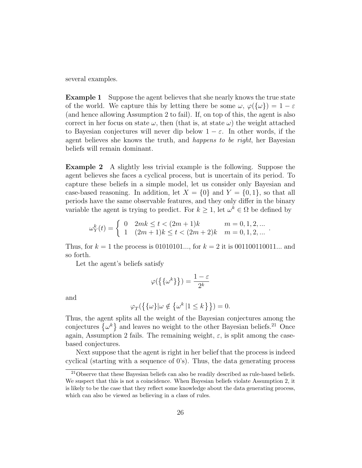several examples.

Example 1 Suppose the agent believes that she nearly knows the true state of the world. We capture this by letting there be some  $\omega, \varphi(\{\omega\}) = 1 - \varepsilon$ (and hence allowing Assumption 2 to fail). If, on top of this, the agent is also correct in her focus on state  $\omega$ , then (that is, at state  $\omega$ ) the weight attached to Bayesian conjectures will never dip below  $1 - \varepsilon$ . In other words, if the agent believes she knows the truth, and happens to be right, her Bayesian beliefs will remain dominant.

Example 2 A slightly less trivial example is the following. Suppose the agent believes she faces a cyclical process, but is uncertain of its period. To capture these beliefs in a simple model, let us consider only Bayesian and case-based reasoning. In addition, let  $X = \{0\}$  and  $Y = \{0, 1\}$ , so that all periods have the same observable features, and they only differ in the binary variable the agent is trying to predict. For  $k \geq 1$ , let  $\omega^k \in \Omega$  be defined by

$$
\omega_Y^k(t) = \begin{cases} 0 & 2mk \le t < (2m+1)k & m = 0, 1, 2, ... \\ 1 & (2m+1)k \le t < (2m+2)k & m = 0, 1, 2, ... \end{cases}
$$

Thus, for  $k = 1$  the process is 01010101..., for  $k = 2$  it is 001100110011... and so forth.

Let the agent's beliefs satisfy

$$
\varphi(\left\{\{\omega^k\}\right\})=\frac{1-\varepsilon}{2^k}
$$

and

$$
\varphi_T(\{\{\omega\}|\omega \notin \{\omega^k \mid 1 \leq k\}\}) = 0.
$$

Thus, the agent splits all the weight of the Bayesian conjectures among the conjectures  $\{\omega^k\}$  and leaves no weight to the other Bayesian beliefs.<sup>21</sup> Once again, Assumption 2 fails. The remaining weight,  $\varepsilon$ , is split among the casebased conjectures.

Next suppose that the agent is right in her belief that the process is indeed cyclical (starting with a sequence of  $0's$ ). Thus, the data generating process

 $21$ Observe that these Bayesian beliefs can also be readily described as rule-based beliefs. We suspect that this is not a coincidence. When Bayesian beliefs violate Assumption 2, it is likely to be the case that they reflect some knowledge about the data generating process, which can also be viewed as believing in a class of rules.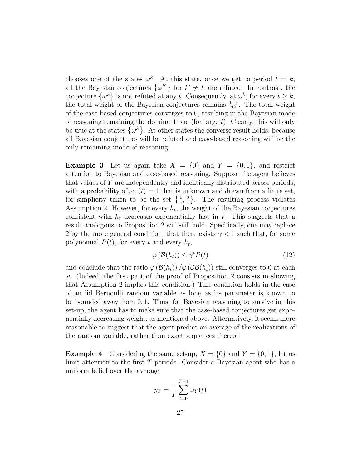chooses one of the states  $\omega^k$ . At this state, once we get to period  $t = k$ , all the Bayesian conjectures  $\{\omega^{k'}\}$  for  $k' \neq k$  are refuted. In contrast, the conjecture  $\{\omega^k\}$  is not refuted at any t. Consequently, at  $\omega^k$ , for every  $t \geq k$ , the total weight of the Bayesian conjectures remains  $\frac{1-\varepsilon}{2^k}$ . The total weight of the case-based conjectures converges to 0, resulting in the Bayesian mode of reasoning remaining the dominant one (for large  $t$ ). Clearly, this will only be true at the states  $\{\omega^k\}$ . At other states the converse result holds, because all Bayesian conjectures will be refuted and case-based reasoning will be the only remaining mode of reasoning.

**Example 3** Let us again take  $X = \{0\}$  and  $Y = \{0, 1\}$ , and restrict attention to Bayesian and case-based reasoning. Suppose the agent believes that values of Y are independently and identically distributed across periods, with a probability of  $\omega_Y(t) = 1$  that is unknown and drawn from a finite set, for simplicity taken to be the set  $\left\{\frac{1}{4}, \frac{3}{4}\right\}$  $\frac{3}{4}$ . The resulting process violates Assumption 2. However, for every  $h_t$ , the weight of the Bayesian conjectures consistent with  $h_t$  decreases exponentially fast in t. This suggests that a result analogous to Proposition 2 will still hold. Specifically, one may replace 2 by the more general condition, that there exists  $\gamma$  < 1 such that, for some polynomial  $P(t)$ , for every t and every  $h_t$ ,

$$
\varphi\left(\mathcal{B}(h_t)\right) \le \gamma^t P(t) \tag{12}
$$

and conclude that the ratio  $\varphi(\mathcal{B}(h_t)) / \varphi(\mathcal{C}\mathcal{B}(h_t))$  still converges to 0 at each  $\omega$ . (Indeed, the first part of the proof of Proposition 2 consists in showing that Assumption 2 implies this condition.) This condition holds in the case of an iid Bernoulli random variable as long as its parameter is known to be bounded away from 0, 1. Thus, for Bayesian reasoning to survive in this set-up, the agent has to make sure that the case-based conjectures get exponentially decreasing weight, as mentioned above. Alternatively, it seems more reasonable to suggest that the agent predict an average of the realizations of the random variable, rather than exact sequences thereof.

**Example 4** Considering the same set-up,  $X = \{0\}$  and  $Y = \{0, 1\}$ , let us limit attention to the first T periods. Consider a Bayesian agent who has a uniform belief over the average

$$
\bar{y}_T = \frac{1}{T} \sum_{t=0}^{T-1} \omega_Y(t)
$$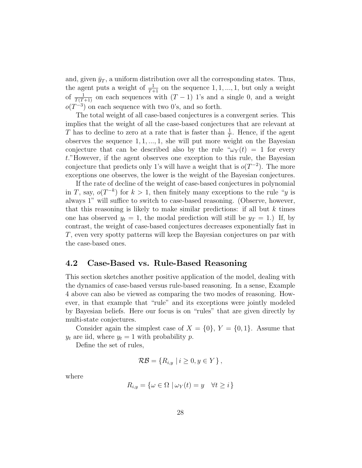and, given  $\bar{y}_T$ , a uniform distribution over all the corresponding states. Thus, the agent puts a weight of  $\frac{1}{T+1}$  on the sequence 1, 1, ..., 1, but only a weight of  $\frac{1}{T(T+1)}$  on each sequences with  $(T-1)$  1's and a single 0, and a weight  $o(T^{-3})$  on each sequence with two 0's, and so forth.

The total weight of all case-based conjectures is a convergent series. This implies that the weight of all the case-based conjectures that are relevant at T has to decline to zero at a rate that is faster than  $\frac{1}{T}$ . Hence, if the agent observes the sequence  $1, 1, ..., 1$ , she will put more weight on the Bayesian conjecture that can be described also by the rule  $\omega_Y(t) = 1$  for every t."However, if the agent observes one exception to this rule, the Bayesian conjecture that predicts only 1's will have a weight that is  $o(T^{-2})$ . The more exceptions one observes, the lower is the weight of the Bayesian conjectures.

If the rate of decline of the weight of case-based conjectures in polynomial in T, say,  $o(T^{-k})$  for  $k > 1$ , then finitely many exceptions to the rule "y is always 1" will suffice to switch to case-based reasoning. (Observe, however, that this reasoning is likely to make similar predictions: if all but  $k$  times one has observed  $y_t = 1$ , the modal prediction will still be  $y_T = 1$ .) If, by contrast, the weight of case-based conjectures decreases exponentially fast in T, even very spotty patterns will keep the Bayesian conjectures on par with the case-based ones.

## 4.2 Case-Based vs. Rule-Based Reasoning

This section sketches another positive application of the model, dealing with the dynamics of case-based versus rule-based reasoning. In a sense, Example 4 above can also be viewed as comparing the two modes of reasoning. However, in that example that "rule" and its exceptions were jointly modeled by Bayesian beliefs. Here our focus is on "rules" that are given directly by multi-state conjectures.

Consider again the simplest case of  $X = \{0\}$ ,  $Y = \{0, 1\}$ . Assume that  $y_t$  are iid, where  $y_t = 1$  with probability p.

Define the set of rules,

$$
\mathcal{RB} = \{ R_{i,y} \mid i \geq 0, y \in Y \},
$$

where

$$
R_{i,y} = \{ \omega \in \Omega \mid \omega_Y(t) = y \quad \forall t \ge i \}
$$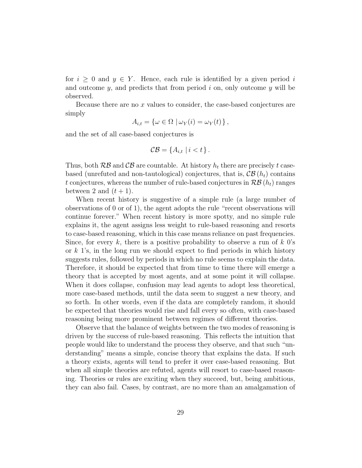for  $i \geq 0$  and  $y \in Y$ . Hence, each rule is identified by a given period i and outcome  $y$ , and predicts that from period  $i$  on, only outcome  $y$  will be observed.

Because there are no  $x$  values to consider, the case-based conjectures are simply

$$
A_{i,t} = \{ \omega \in \Omega \mid \omega_Y(i) = \omega_Y(t) \},
$$

and the set of all case-based conjectures is

$$
\mathcal{CB} = \{A_{i,t} \mid i < t\}.
$$

Thus, both  $R\mathcal{B}$  and  $\mathcal{C}\mathcal{B}$  are countable. At history  $h_t$  there are precisely t casebased (unrefuted and non-tautological) conjectures, that is,  $\mathcal{CB}(h_t)$  contains t conjectures, whereas the number of rule-based conjectures in  $\mathcal{RB}(h_t)$  ranges between 2 and  $(t + 1)$ .

When recent history is suggestive of a simple rule (a large number of observations of 0 or of 1), the agent adopts the rule "recent observations will continue forever." When recent history is more spotty, and no simple rule explains it, the agent assigns less weight to rule-based reasoning and resorts to case-based reasoning, which in this case means reliance on past frequencies. Since, for every k, there is a positive probability to observe a run of k  $0$ 's or  $k$  1's, in the long run we should expect to find periods in which history suggests rules, followed by periods in which no rule seems to explain the data. Therefore, it should be expected that from time to time there will emerge a theory that is accepted by most agents, and at some point it will collapse. When it does collapse, confusion may lead agents to adopt less theoretical, more case-based methods, until the data seem to suggest a new theory, and so forth. In other words, even if the data are completely random, it should be expected that theories would rise and fall every so often, with case-based reasoning being more prominent between regimes of different theories.

Observe that the balance of weights between the two modes of reasoning is driven by the success of rule-based reasoning. This reflects the intuition that people would like to understand the process they observe, and that such "understanding" means a simple, concise theory that explains the data. If such a theory exists, agents will tend to prefer it over case-based reasoning. But when all simple theories are refuted, agents will resort to case-based reasoning. Theories or rules are exciting when they succeed, but, being ambitious, they can also fail. Cases, by contrast, are no more than an amalgamation of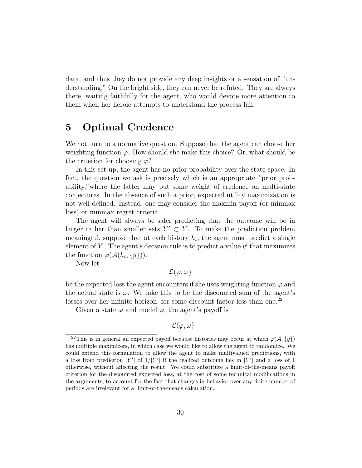data, and thus they do not provide any deep insights or a sensation of "understanding." On the bright side, they can never be refuted. They are always there, waiting faithfully for the agent, who would devote more attention to them when her heroic attempts to understand the process fail.

## 5 Optimal Credence

We not turn to a normative question. Suppose that the agent can choose her weighting function  $\varphi$ . How should she make this choice? Or, what should be the criterion for choosing  $\varphi$ ?

In this set-up, the agent has no prior probability over the state space. In fact, the question we ask is precisely which is an appropriate "prior probability,"where the latter may put some weight of credence on multi-state conjectures. In the absence of such a prior, expected utility maximization is not well-defined. Instead, one may consider the maxmin payoff (or minmax loss) or minmax regret criteria.

The agent will always be safer predicting that the outcome will be in larger rather than smaller sets  $Y' \subset Y$ . To make the prediction problem meaningful, suppose that at each history  $h_t$ , the agent must predict a single element of Y. The agent's decision rule is to predict a value  $y'$  that maximizes the function  $\varphi(\mathcal{A}(h_t, \{y\}))$ .

Now let

 $\mathcal{L}(\varphi,\omega)$ 

be the expected loss the agent encounters if she uses weighting function  $\varphi$  and the actual state is  $\omega$ . We take this to be the discounted sum of the agent's losses over her infinite horizon, for some discount factor less than one.<sup>22</sup>

Given a state  $\omega$  and model  $\varphi$ , the agent's payoff is

$$
-{\cal L}(\varphi,\omega\}
$$

<sup>&</sup>lt;sup>22</sup>This is in general an expected payoff because histories may occur at which  $\varphi(\mathcal{A}, \{y\})$ has multiple maximizers, in which case we would like to allow the agent to randomize. We could extend this formulation to allow the agent to make multivalued predictions, with a loss from prediction |Y'| of  $1/|Y'|$  if the realized outcome lies in |Y'| and a loss of 1 otherwise, without affecting the result. We could substitute a limit-of-the-means payoff criterion for the discounted expected loss, at the cost of some technical modifications in the arguments, to account for the fact that changes in behavior over any finite number of periods are irrelevant for a limit-of-the-means calculation.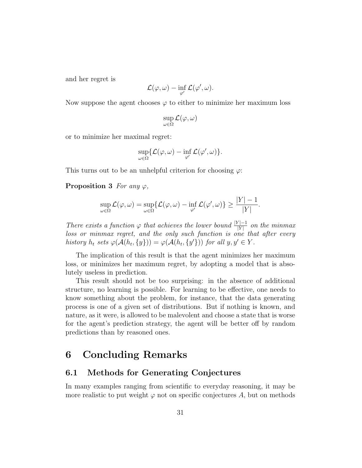and her regret is

$$
\mathcal{L}(\varphi,\omega)-\inf_{\varphi'}\mathcal{L}(\varphi',\omega).
$$

Now suppose the agent chooses  $\varphi$  to either to minimize her maximum loss

$$
\sup_{\omega \in \Omega} \mathcal{L}(\varphi, \omega)
$$

or to minimize her maximal regret:

$$
\sup_{\omega\in\Omega}\{\mathcal{L}(\varphi,\omega)-\inf_{\varphi'}\mathcal{L}(\varphi',\omega)\}.
$$

This turns out to be an unhelpful criterion for choosing  $\varphi$ :

**Proposition 3** For any  $\varphi$ ,

$$
\sup_{\omega \in \Omega} \mathcal{L}(\varphi, \omega) = \sup_{\omega \in \Omega} \{ \mathcal{L}(\varphi, \omega) - \inf_{\varphi'} \mathcal{L}(\varphi', \omega) \} \ge \frac{|Y| - 1}{|Y|}.
$$

There exists a function  $\varphi$  that achieves the lower bound  $\frac{|Y|-1}{|Y|}$  on the minmax loss or minmax regret, and the only such function is one that after every history  $h_t$  sets  $\varphi(\mathcal{A}(h_t, \{y\})) = \varphi(\mathcal{A}(h_t, \{y'\}))$  for all  $y, y' \in Y$ .

The implication of this result is that the agent minimizes her maximum loss, or minimizes her maximum regret, by adopting a model that is absolutely useless in prediction.

This result should not be too surprising: in the absence of additional structure, no learning is possible. For learning to be effective, one needs to know something about the problem, for instance, that the data generating process is one of a given set of distributions. But if nothing is known, and nature, as it were, is allowed to be malevolent and choose a state that is worse for the agent's prediction strategy, the agent will be better off by random predictions than by reasoned ones.

## 6 Concluding Remarks

## 6.1 Methods for Generating Conjectures

In many examples ranging from scientific to everyday reasoning, it may be more realistic to put weight  $\varphi$  not on specific conjectures A, but on methods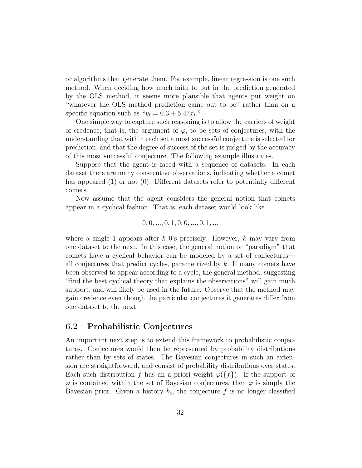or algorithms that generate them. For example, linear regression is one such method. When deciding how much faith to put in the prediction generated by the OLS method, it seems more plausible that agents put weight on "whatever the OLS method prediction came out to be" rather than on a specific equation such as " $y_t = 0.3 + 5.47x_t$ ."

One simple way to capture such reasoning is to allow the carriers of weight of credence, that is, the argument of  $\varphi$ , to be sets of conjectures, with the understanding that within each set a most successful conjecture is selected for prediction, and that the degree of success of the set is judged by the accuracy of this most successful conjecture. The following example illustrates.

Suppose that the agent is faced with a sequence of datasets. In each dataset there are many consecutive observations, indicating whether a comet has appeared (1) or not (0). Different datasets refer to potentially different comets.

Now assume that the agent considers the general notion that comets appear in a cyclical fashion. That is, each dataset would look like

$$
0, 0, ..., 0, 1, 0, 0, ..., 0, 1, ...
$$

where a single 1 appears after k 0's precisely. However, k may vary from one dataset to the next. In this case, the general notion or "paradigm" that comets have a cyclical behavior can be modeled by a set of conjectures all conjectures that predict cycles, parametrized by  $k$ . If many comets have been observed to appear according to a cycle, the general method, suggesting "find the best cyclical theory that explains the observations" will gain much support, and will likely be used in the future. Observe that the method may gain credence even though the particular conjectures it generates differ from one dataset to the next.

## 6.2 Probabilistic Conjectures

An important next step is to extend this framework to probabilistic conjectures. Conjectures would then be represented by probability distributions rather than by sets of states. The Bayesian conjectures in such an extension are straightforward, and consist of probability distributions over states. Each such distribution f has an a priori weight  $\varphi({f})$ . If the support of  $\varphi$  is contained within the set of Bayesian conjectures, then  $\varphi$  is simply the Bayesian prior. Given a history  $h_t$ , the conjecture f is no longer classified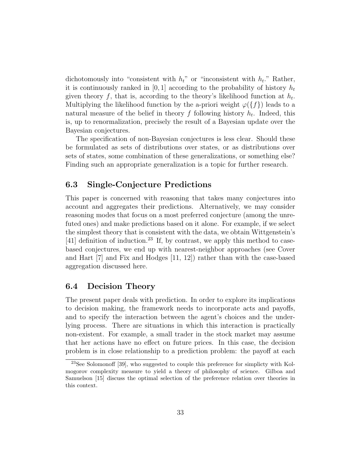dichotomously into "consistent with  $h_t$ " or "inconsistent with  $h_t$ ." Rather, it is continuously ranked in [0, 1] according to the probability of history  $h_t$ given theory f, that is, according to the theory's likelihood function at  $h_t$ . Multiplying the likelihood function by the a-priori weight  $\varphi({f})$  leads to a natural measure of the belief in theory  $f$  following history  $h_t$ . Indeed, this is, up to renormalization, precisely the result of a Bayesian update over the Bayesian conjectures.

The specification of non-Bayesian conjectures is less clear. Should these be formulated as sets of distributions over states, or as distributions over sets of states, some combination of these generalizations, or something else? Finding such an appropriate generalization is a topic for further research.

## 6.3 Single-Conjecture Predictions

This paper is concerned with reasoning that takes many conjectures into account and aggregates their predictions. Alternatively, we may consider reasoning modes that focus on a most preferred conjecture (among the unrefuted ones) and make predictions based on it alone. For example, if we select the simplest theory that is consistent with the data, we obtain Wittgenstein's [41] definition of induction.<sup>23</sup> If, by contrast, we apply this method to casebased conjectures, we end up with nearest-neighbor approaches (see Cover and Hart [7] and Fix and Hodges [11, 12]) rather than with the case-based aggregation discussed here.

## 6.4 Decision Theory

The present paper deals with prediction. In order to explore its implications to decision making, the framework needs to incorporate acts and payoffs, and to specify the interaction between the agent's choices and the underlying process. There are situations in which this interaction is practically non-existent. For example, a small trader in the stock market may assume that her actions have no effect on future prices. In this case, the decision problem is in close relationship to a prediction problem: the payoff at each

<sup>23</sup>See Solomonoff [39], who suggested to couple this preference for simplicty with Kolmogorov complexity measure to yield a theory of philosophy of science. Gilboa and Samuelson [15] discuss the optimal selection of the preference relation over theories in this context.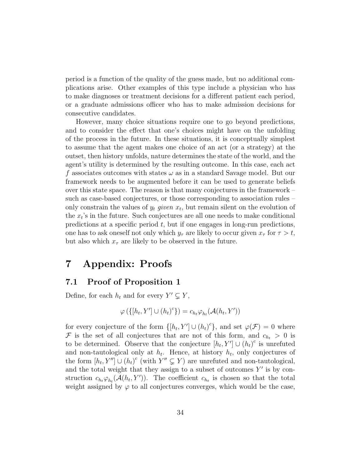period is a function of the quality of the guess made, but no additional complications arise. Other examples of this type include a physician who has to make diagnoses or treatment decisions for a different patient each period, or a graduate admissions officer who has to make admission decisions for consecutive candidates.

However, many choice situations require one to go beyond predictions, and to consider the effect that one's choices might have on the unfolding of the process in the future. In these situations, it is conceptually simplest to assume that the agent makes one choice of an act (or a strategy) at the outset, then history unfolds, nature determines the state of the world, and the agent's utility is determined by the resulting outcome. In this case, each act f associates outcomes with states  $\omega$  as in a standard Savage model. But our framework needs to be augmented before it can be used to generate beliefs over this state space. The reason is that many conjectures in the framework – such as case-based conjectures, or those corresponding to association rules – only constrain the values of  $y_t$  given  $x_t$ , but remain silent on the evolution of the  $x_t$ 's in the future. Such conjectures are all one needs to make conditional predictions at a specific period  $t$ , but if one engages in long-run predictions, one has to ask oneself not only which  $y_\tau$  are likely to occur given  $x_\tau$  for  $\tau > t$ , but also which  $x_{\tau}$  are likely to be observed in the future.

## 7 Appendix: Proofs

## 7.1 Proof of Proposition 1

Define, for each  $h_t$  and for every  $Y' \subsetneq Y$ ,

$$
\varphi\left(\left\{[h_t, Y'] \cup (h_t)^c\right\}\right) = c_{h_t} \varphi_{h_t}(\mathcal{A}(h_t, Y'))
$$

for every conjecture of the form  $\{[h_t, Y'] \cup (h_t)^c\}$ , and set  $\varphi(\mathcal{F}) = 0$  where F is the set of all conjectures that are not of this form, and  $c_{h_t} > 0$  is to be determined. Observe that the conjecture  $[h_t, Y'] \cup (h_t)^c$  is unrefuted and non-tautological only at  $h_t$ . Hence, at history  $h_t$ , only conjectures of the form  $[h_t, Y''] \cup (h_t)^c$  (with  $Y'' \subsetneq Y$ ) are unrefuted and non-tautological, and the total weight that they assign to a subset of outcomes  $Y'$  is by construction  $c_{h_t} \varphi_{h_t}(\mathcal{A}(h_t, Y'))$ . The coefficient  $c_{h_t}$  is chosen so that the total weight assigned by  $\varphi$  to all conjectures converges, which would be the case,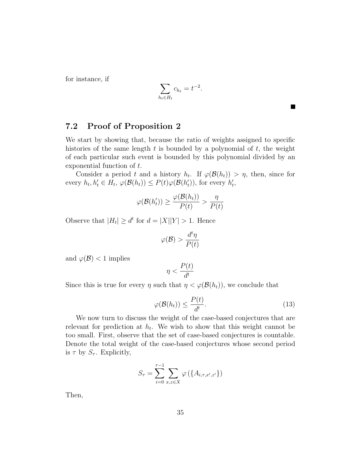for instance, if

$$
\sum_{h_t \in H_t} c_{h_t} = t^{-2}.
$$

## 7.2 Proof of Proposition 2

We start by showing that, because the ratio of weights assigned to specific histories of the same length  $t$  is bounded by a polynomial of  $t$ , the weight of each particular such event is bounded by this polynomial divided by an exponential function of t.

Consider a period t and a history  $h_t$ . If  $\varphi(\mathcal{B}(h_t)) > \eta$ , then, since for every  $h_t, h'_t \in H_t$ ,  $\varphi(\mathcal{B}(h_t)) \leq P(t)\varphi(\mathcal{B}(h'_t))$ , for every  $h'_t$ ,

$$
\varphi(\mathcal{B}(h'_t)) \ge \frac{\varphi(\mathcal{B}(h_t))}{P(t)} > \frac{\eta}{P(t)}
$$

Observe that  $|H_t| \ge d^t$  for  $d = |X||Y| > 1$ . Hence

$$
\varphi(\mathcal{B}) > \frac{d^t\eta}{P(t)}
$$

and  $\varphi(\mathcal{B}) < 1$  implies

$$
\eta < \frac{P(t)}{d^t}
$$

Since this is true for every  $\eta$  such that  $\eta < \varphi(\mathcal{B}(h_t))$ , we conclude that

$$
\varphi(\mathcal{B}(h_t)) \le \frac{P(t)}{d^t}.\tag{13}
$$

**College** 

We now turn to discuss the weight of the case-based conjectures that are relevant for prediction at  $h_t$ . We wish to show that this weight cannot be too small. First, observe that the set of case-based conjectures is countable. Denote the total weight of the case-based conjectures whose second period is  $\tau$  by  $S_{\tau}$ . Explicitly,

$$
S_{\tau} = \sum_{i=0}^{\tau-1} \sum_{x,z \in X} \varphi (\{A_{i,\tau,x',z'}\})
$$

Then,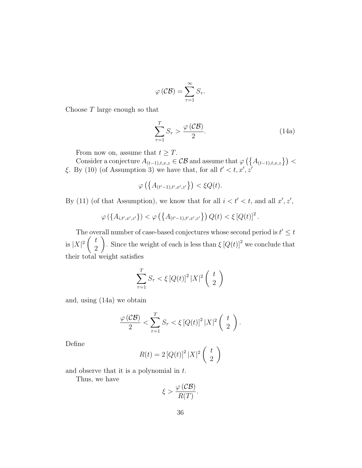$$
\varphi\left(\mathcal{CB}\right) = \sum_{\tau=1}^{\infty} S_{\tau}.
$$

Choose T large enough so that

$$
\sum_{\tau=1}^{T} S_{\tau} > \frac{\varphi(C\mathcal{B})}{2}.
$$
 (14a)

From now on, assume that  $t \geq T$ .

Consider a conjecture  $A_{(t-1),t,x,z} \in \mathcal{CB}$  and assume that  $\varphi\left(\left\{A_{(t-1),t,x,z}\right\}\right)$ ξ. By (10) (of Assumption 3) we have that, for all  $t' < t, x', z'$ 

$$
\varphi\left(\left\{A_{(t'-1),t',x',z'}\right\}\right) < \xi Q(t).
$$

By (11) (of that Assumption), we know that for all  $i < t' < t$ , and all  $x', z'$ ,

$$
\varphi\left(\{A_{i,t',x',z'}\}\right) < \varphi\left(\{A_{(t'-1),t',x',z'}\}\right)Q(t) < \xi\left[Q(t)\right]^2.
$$

The overall number of case-based conjectures whose second period is  $t' \leq t$ is  $|X|^2\left(\begin{array}{c}t\\0\end{array}\right)$ 2 ). Since the weight of each is less than  $\int [Q(t)]^2$  we conclude that their total weight satisfies

$$
\sum_{\tau=1}^{T} S_{\tau} < \xi \left[ Q(t) \right]^2 |X|^2 \left( \begin{array}{c} t \\ 2 \end{array} \right)
$$

and, using (14a) we obtain

$$
\frac{\varphi(C\mathcal{B})}{2} < \sum_{\tau=1}^T S_\tau < \xi \left[ Q(t) \right]^2 |X|^2 \left( \begin{array}{c} t \\ 2 \end{array} \right).
$$

Define

$$
R(t) = 2 [Q(t)]^2 |X|^2 \left(\begin{array}{c} t \\ 2 \end{array}\right)
$$

and observe that it is a polynomial in  $t$ .

Thus, we have

$$
\xi > \frac{\varphi\left(\mathcal{CB}\right)}{R(T)}.
$$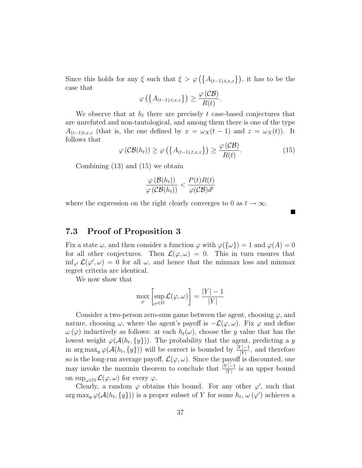Since this holds for any  $\xi$  such that  $\xi > \varphi\left(\{A_{(t-1),t,x,z}\}\right)$ , it has to be the case that

$$
\varphi\left(\left\{A_{(t-1),t,x,z}\right\}\right) \geq \frac{\varphi\left(\mathcal{CB}\right)}{R(t)}.
$$

We observe that at  $h_t$  there are precisely t case-based conjectures that are unrefuted and non-tautological, and among them there is one of the type  $A_{(t-1)t,x,z}$  (that is, the one defined by  $x = \omega_X(t-1)$  and  $z = \omega_X(t)$ ). It follows that

$$
\varphi\left(\mathcal{CB}(h_t)\right) \ge \varphi\left(\left\{A_{(t-1),t,x,z}\right\}\right) \ge \frac{\varphi\left(\mathcal{CB}\right)}{R(t)}.\tag{15}
$$

Combining (13) and (15) we obtain

$$
\frac{\varphi(\mathcal{B}(h_t))}{\varphi(\mathcal{C}\mathcal{B}(h_t))} < \frac{P(t)R(t)}{\varphi(\mathcal{C}\mathcal{B})d^t}
$$

where the expression on the right clearly converges to 0 as  $t \to \infty$ .

## 7.3 Proof of Proposition 3

Fix a state  $\omega$ , and then consider a function  $\varphi$  with  $\varphi({\{\omega\}}) = 1$  and  $\varphi(A) = 0$ for all other conjectures. Then  $\mathcal{L}(\varphi,\omega) = 0$ . This in turn ensures that  $\inf_{\varphi} \mathcal{L}(\varphi', \omega) = 0$  for all  $\omega$ , and hence that the minmax loss and minmax regret criteria are identical.

We now show that

$$
\max_{\varphi} \left[ \sup_{\omega \in \Omega} \mathcal{L}(\varphi, \omega) \right] = \frac{|Y| - 1}{|Y|}
$$

Consider a two-person zero-sum game between the agent, choosing  $\varphi$ , and nature, choosing  $\omega$ , where the agent's payoff is  $-\mathcal{L}(\varphi,\omega)$ . Fix  $\varphi$  and define  $\omega(\varphi)$  inductively as follows: at each  $h_t(\omega)$ , choose the y value that has the lowest weight  $\varphi(\mathcal{A}(h_t, \{y\}))$ . The probability that the agent, predicting a y in  $\arg \max_y \varphi(\mathcal{A}(h_t, \{y\}))$  will be correct is bounded by  $\frac{|Y|-1}{|Y|}$ , and therefore so is the long-run average payoff,  $\mathcal{L}(\varphi,\omega)$ . Since the payoff is discounted, one may invoke the maxmin theorem to conclude that  $\frac{|Y|-1}{|Y|}$  is an upper bound on sup<sub> $\omega \in \Omega$ </sub>  $\mathcal{L}(\varphi, \omega)$  for every  $\varphi$ .

Clearly, a random  $\varphi$  obtains this bound. For any other  $\varphi'$ , such that  $\arg \max_y \varphi(\mathcal{A}(h_t, \{y\}))$  is a proper subset of Y for some  $h_t, \omega(\varphi')$  achieves a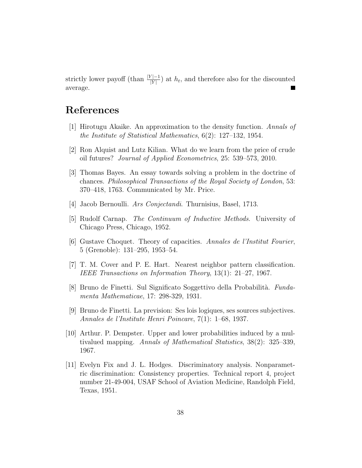strictly lower payoff (than  $\frac{|Y|-1}{|Y|}$ ) at  $h_t$ , and therefore also for the discounted average. **College** 

## References

- [1] Hirotugu Akaike. An approximation to the density function. Annals of the Institute of Statistical Mathematics, 6(2): 127–132, 1954.
- [2] Ron Alquist and Lutz Kilian. What do we learn from the price of crude oil futures? Journal of Applied Econometrics, 25: 539–573, 2010.
- [3] Thomas Bayes. An essay towards solving a problem in the doctrine of chances. Philosophical Transactions of the Royal Society of London, 53: 370–418, 1763. Communicated by Mr. Price.
- [4] Jacob Bernoulli. Ars Conjectandi. Thurnisius, Basel, 1713.
- [5] Rudolf Carnap. The Continuum of Inductive Methods. University of Chicago Press, Chicago, 1952.
- [6] Gustave Choquet. Theory of capacities. Annales de l'Institut Fourier, 5 (Grenoble): 131–295, 1953–54.
- [7] T. M. Cover and P. E. Hart. Nearest neighbor pattern classification. IEEE Transactions on Information Theory, 13(1): 21–27, 1967.
- [8] Bruno de Finetti. Sul Significato Soggettivo della Probabilità. Fundamenta Mathematicae, 17: 298-329, 1931.
- [9] Bruno de Finetti. La prevision: Ses lois logiques, ses sources subjectives. Annales de l'Institute Henri Poincare, 7(1): 1–68, 1937.
- [10] Arthur. P. Dempster. Upper and lower probabilities induced by a multivalued mapping. Annals of Mathematical Statistics, 38(2): 325–339, 1967.
- [11] Evelyn Fix and J. L. Hodges. Discriminatory analysis. Nonparametric discrimination: Consistency properties. Technical report 4, project number 21-49-004, USAF School of Aviation Medicine, Randolph Field, Texas, 1951.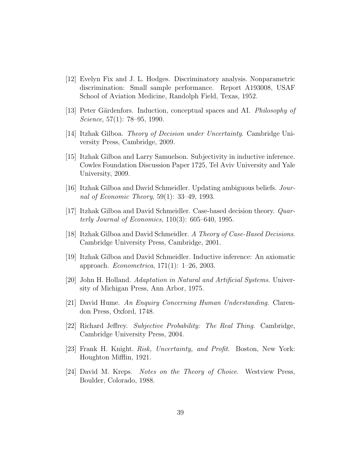- [12] Evelyn Fix and J. L. Hodges. Discriminatory analysis. Nonparametric discrimination: Small sample performance. Report A193008, USAF School of Aviation Medicine, Randolph Field, Texas, 1952.
- [13] Peter Gärdenfors. Induction, conceptual spaces and AI. *Philosophy of* Science, 57(1): 78–95, 1990.
- [14] Itzhak Gilboa. Theory of Decision under Uncertainty. Cambridge University Press, Cambridge, 2009.
- [15] Itzhak Gilboa and Larry Samuelson. Subjectivity in inductive inference. Cowles Foundation Discussion Paper 1725, Tel Aviv University and Yale University, 2009.
- [16] Itzhak Gilboa and David Schmeidler. Updating ambiguous beliefs. Journal of Economic Theory, 59(1): 33–49, 1993.
- [17] Itzhak Gilboa and David Schmeidler. Case-based decision theory. Quarterly Journal of Economics,  $110(3)$ : 605–640, 1995.
- [18] Itzhak Gilboa and David Schmeidler. A Theory of Case-Based Decisions. Cambridge University Press, Cambridge, 2001.
- [19] Itzhak Gilboa and David Schmeidler. Inductive inference: An axiomatic approach. Econometrica, 171(1): 1–26, 2003.
- [20] John H. Holland. Adaptation in Natural and Artificial Systems. University of Michigan Press, Ann Arbor, 1975.
- [21] David Hume. An Enquiry Concerning Human Understanding. Clarendon Press, Oxford, 1748.
- [22] Richard Jeffrey. Subjective Probability: The Real Thing. Cambridge, Cambridge University Press, 2004.
- [23] Frank H. Knight. Risk, Uncertainty, and Profit. Boston, New York: Houghton Mifflin, 1921.
- [24] David M. Kreps. Notes on the Theory of Choice. Westview Press, Boulder, Colorado, 1988.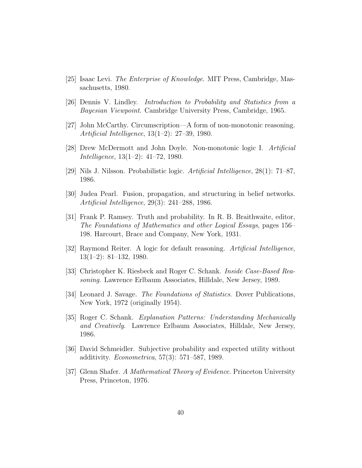- [25] Isaac Levi. The Enterprise of Knowledge. MIT Press, Cambridge, Massachusetts, 1980.
- [26] Dennis V. Lindley. Introduction to Probability and Statistics from a Bayesian Viewpoint. Cambridge University Press, Cambridge, 1965.
- [27] John McCarthy. Circumscription—A form of non-monotonic reasoning. Artificial Intelligence, 13(1–2): 27–39, 1980.
- [28] Drew McDermott and John Doyle. Non-monotonic logic I. Artificial Intelligence, 13(1–2): 41–72, 1980.
- [29] Nils J. Nilsson. Probabilistic logic. Artificial Intelligence,  $28(1)$ : 71–87, 1986.
- [30] Judea Pearl. Fusion, propagation, and structuring in belief networks. Artificial Intelligence, 29(3): 241–288, 1986.
- [31] Frank P. Ramsey. Truth and probability. In R. B. Braithwaite, editor, The Foundations of Mathematics and other Logical Essays, pages 156– 198. Harcourt, Brace and Company, New York, 1931.
- [32] Raymond Reiter. A logic for default reasoning. Artificial Intelligence, 13(1–2): 81–132, 1980.
- [33] Christopher K. Riesbeck and Roger C. Schank. Inside Case-Based Reasoning. Lawrence Erlbaum Associates, Hilldale, New Jersey, 1989.
- [34] Leonard J. Savage. The Foundations of Statistics. Dover Publications, New York, 1972 (originally 1954).
- [35] Roger C. Schank. Explanation Patterns: Understanding Mechanically and Creatively. Lawrence Erlbaum Associates, Hilldale, New Jersey, 1986.
- [36] David Schmeidler. Subjective probability and expected utility without additivity. Econometrica, 57(3): 571–587, 1989.
- [37] Glenn Shafer. A Mathematical Theory of Evidence. Princeton University Press, Princeton, 1976.